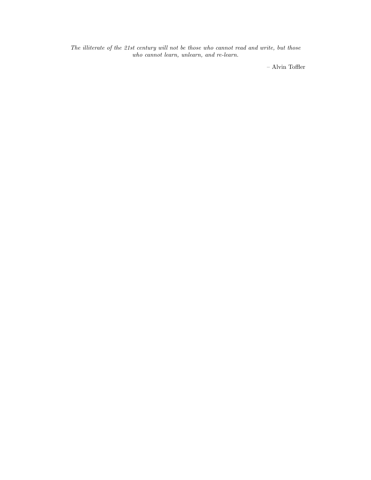The illiterate of the 21st century will not be those who cannot read and write, but those who cannot learn, unlearn, and re-learn.

– Alvin Toffler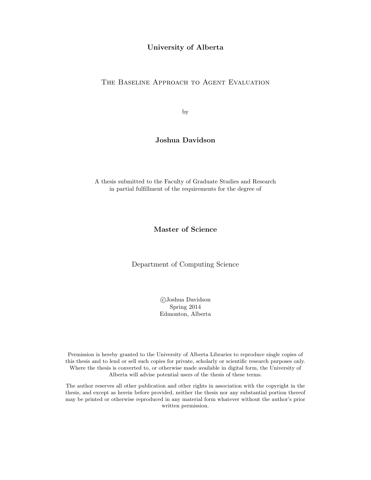#### University of Alberta

#### THE BASELINE APPROACH TO AGENT EVALUATION

by

### Joshua Davidson

A thesis submitted to the Faculty of Graduate Studies and Research in partial fulfillment of the requirements for the degree of

#### Master of Science

Department of Computing Science

 c Joshua Davidson Spring 2014 Edmonton, Alberta

Permission is hereby granted to the University of Alberta Libraries to reproduce single copies of this thesis and to lend or sell such copies for private, scholarly or scientific research purposes only. Where the thesis is converted to, or otherwise made available in digital form, the University of Alberta will advise potential users of the thesis of these terms.

The author reserves all other publication and other rights in association with the copyright in the thesis, and except as herein before provided, neither the thesis nor any substantial portion thereof may be printed or otherwise reproduced in any material form whatever without the author's prior written permission.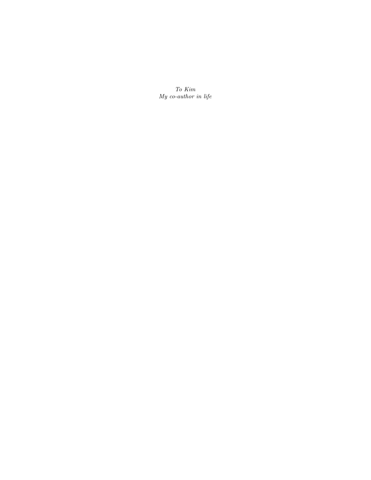To Kim My co-author in life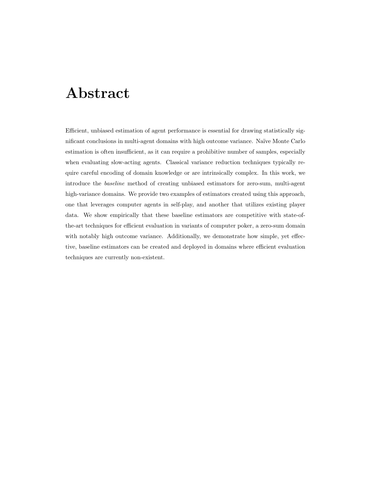# Abstract

Efficient, unbiased estimation of agent performance is essential for drawing statistically significant conclusions in multi-agent domains with high outcome variance. Na¨ıve Monte Carlo estimation is often insufficient, as it can require a prohibitive number of samples, especially when evaluating slow-acting agents. Classical variance reduction techniques typically require careful encoding of domain knowledge or are intrinsically complex. In this work, we introduce the baseline method of creating unbiased estimators for zero-sum, multi-agent high-variance domains. We provide two examples of estimators created using this approach, one that leverages computer agents in self-play, and another that utilizes existing player data. We show empirically that these baseline estimators are competitive with state-ofthe-art techniques for efficient evaluation in variants of computer poker, a zero-sum domain with notably high outcome variance. Additionally, we demonstrate how simple, yet effective, baseline estimators can be created and deployed in domains where efficient evaluation techniques are currently non-existent.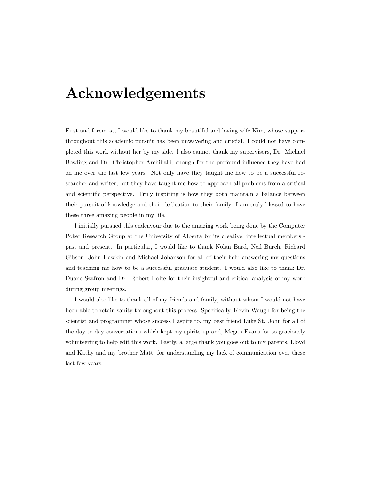# Acknowledgements

First and foremost, I would like to thank my beautiful and loving wife Kim, whose support throughout this academic pursuit has been unwavering and crucial. I could not have completed this work without her by my side. I also cannot thank my supervisors, Dr. Michael Bowling and Dr. Christopher Archibald, enough for the profound influence they have had on me over the last few years. Not only have they taught me how to be a successful researcher and writer, but they have taught me how to approach all problems from a critical and scientific perspective. Truly inspiring is how they both maintain a balance between their pursuit of knowledge and their dedication to their family. I am truly blessed to have these three amazing people in my life.

I initially pursued this endeavour due to the amazing work being done by the Computer Poker Research Group at the University of Alberta by its creative, intellectual members past and present. In particular, I would like to thank Nolan Bard, Neil Burch, Richard Gibson, John Hawkin and Michael Johanson for all of their help answering my questions and teaching me how to be a successful graduate student. I would also like to thank Dr. Duane Szafron and Dr. Robert Holte for their insightful and critical analysis of my work during group meetings.

I would also like to thank all of my friends and family, without whom I would not have been able to retain sanity throughout this process. Specifically, Kevin Waugh for being the scientist and programmer whose success I aspire to, my best friend Luke St. John for all of the day-to-day conversations which kept my spirits up and, Megan Evans for so graciously volunteering to help edit this work. Lastly, a large thank you goes out to my parents, Lloyd and Kathy and my brother Matt, for understanding my lack of communication over these last few years.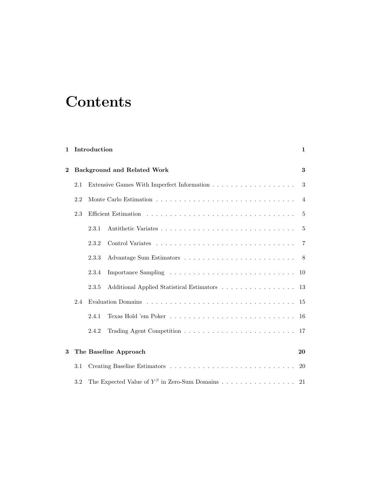# **Contents**

| $\mathbf{1}$ |     | Introduction |                                                          | 1              |
|--------------|-----|--------------|----------------------------------------------------------|----------------|
| $\bf{2}$     |     |              | <b>Background and Related Work</b>                       | 3              |
|              | 2.1 |              |                                                          | 3              |
|              | 2.2 |              |                                                          | $\overline{4}$ |
|              | 2.3 |              |                                                          | 5              |
|              |     | 2.3.1        |                                                          | 5              |
|              |     | 2.3.2        |                                                          | 7              |
|              |     | 2.3.3        |                                                          |                |
|              |     | 2.3.4        |                                                          |                |
|              |     | 2.3.5        |                                                          |                |
|              | 2.4 |              |                                                          | 15             |
|              |     | 2.4.1        |                                                          | -16            |
|              |     | 2.4.2        |                                                          |                |
| 3            |     |              | The Baseline Approach                                    | 20             |
|              | 3.1 |              |                                                          | 20             |
|              | 3.2 |              | The Expected Value of $Y^{\beta}$ in Zero-Sum Domains 21 |                |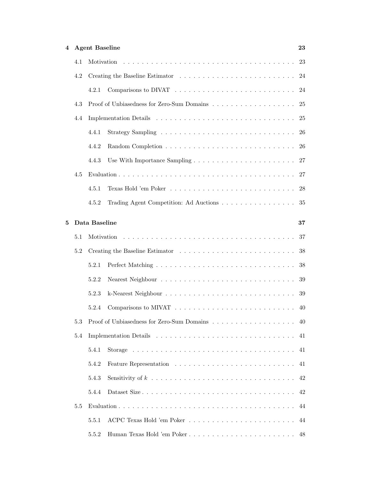| 4 |     | <b>Agent Baseline</b>                              | 23   |
|---|-----|----------------------------------------------------|------|
|   | 4.1 |                                                    |      |
|   | 4.2 |                                                    |      |
|   |     | 4.2.1                                              |      |
|   | 4.3 |                                                    | - 25 |
|   | 4.4 |                                                    |      |
|   |     | 4.4.1                                              |      |
|   |     | 4.4.2                                              |      |
|   |     | 4.4.3                                              |      |
|   | 4.5 |                                                    |      |
|   |     | 4.5.1                                              |      |
|   |     | Trading Agent Competition: Ad Auctions 35<br>4.5.2 |      |
| 5 |     | Data Baseline                                      | 37   |
|   | 5.1 |                                                    | 37   |
|   | 5.2 |                                                    |      |
|   |     | 5.2.1                                              |      |
|   |     | 5.2.2                                              |      |
|   |     | 5.2.3                                              |      |
|   |     | 5.2.4                                              |      |
|   | 5.3 | Proof of Unbiasedness for Zero-Sum Domains 40      |      |
|   | 5.4 |                                                    | 41   |
|   |     | 5.4.1                                              | 41   |
|   |     | 5.4.2                                              | 41   |
|   |     | 5.4.3                                              | 42   |
|   |     | 5.4.4                                              | 42   |
|   | 5.5 |                                                    | 44   |
|   |     | 5.5.1                                              | 44   |
|   |     | Human Texas Hold 'em Poker<br>5.5.2                | 48   |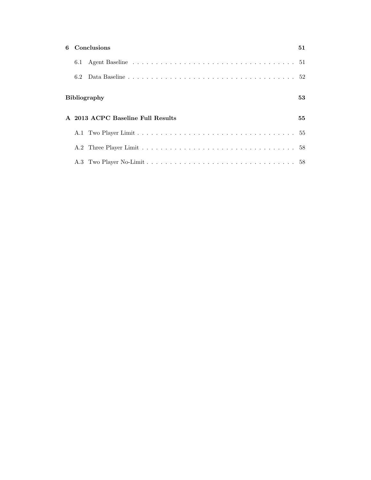|     | 6 Conclusions                     | 51 |
|-----|-----------------------------------|----|
|     |                                   |    |
| 6.2 |                                   |    |
|     | <b>Bibliography</b>               | 53 |
|     | A 2013 ACPC Baseline Full Results | 55 |
|     |                                   |    |
|     |                                   |    |
|     |                                   |    |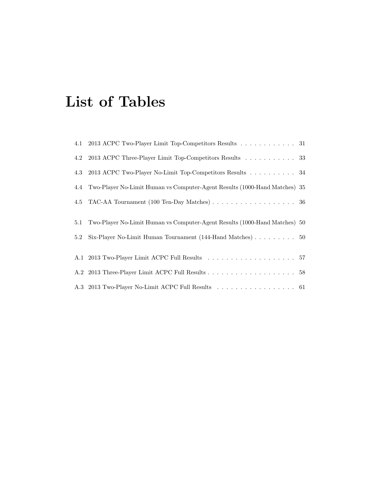# List of Tables

|     | 4.1 2013 ACPC Two-Player Limit Top-Competitors Results 31                                     |  |
|-----|-----------------------------------------------------------------------------------------------|--|
| 4.2 | 2013 ACPC Three-Player Limit Top-Competitors Results 33                                       |  |
| 4.3 | 2013 ACPC Two-Player No-Limit Top-Competitors Results 34                                      |  |
| 4.4 | Two-Player No-Limit Human vs Computer-Agent Results (1000-Hand Matches) 35                    |  |
| 4.5 | TAC-AA Tournament (100 Ten-Day Matches) $\ldots \ldots \ldots \ldots \ldots \ldots \ldots$ 36 |  |
|     |                                                                                               |  |
| 5.1 | Two-Player No-Limit Human vs Computer-Agent Results (1000-Hand Matches) 50                    |  |
| 5.2 | Six-Player No-Limit Human Tournament (144-Hand Matches) 50                                    |  |
|     |                                                                                               |  |
|     |                                                                                               |  |
|     |                                                                                               |  |
|     | A.3 2013 Two-Player No-Limit ACPC Full Results 61                                             |  |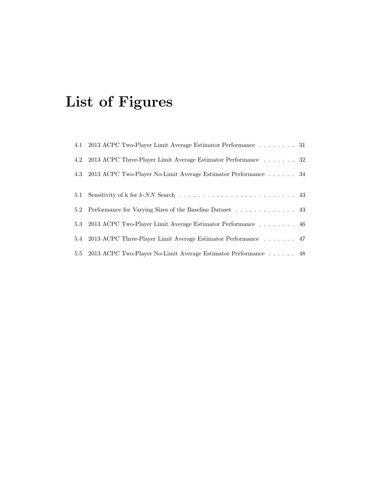# List of Figures

|     | 4.1 2013 ACPC Two-Player Limit Average Estimator Performance 31                                         |  |
|-----|---------------------------------------------------------------------------------------------------------|--|
|     | 4.2 2013 ACPC Three-Player Limit Average Estimator Performance 32                                       |  |
|     | 4.3 2013 ACPC Two-Player No-Limit Average Estimator Performance 34                                      |  |
|     |                                                                                                         |  |
| 5.1 | Sensitivity of k for $k$ -NN Search $\ldots \ldots \ldots \ldots \ldots \ldots \ldots \ldots \ldots$ 43 |  |
|     | 5.2 Performance for Varying Sizes of the Baseline Dataset 43                                            |  |
|     | 5.3 2013 ACPC Two-Player Limit Average Estimator Performance 46                                         |  |
|     | 5.4 2013 ACPC Three-Player Limit Average Estimator Performance 47                                       |  |
|     | 5.5 2013 ACPC Two-Player No-Limit Average Estimator Performance 48                                      |  |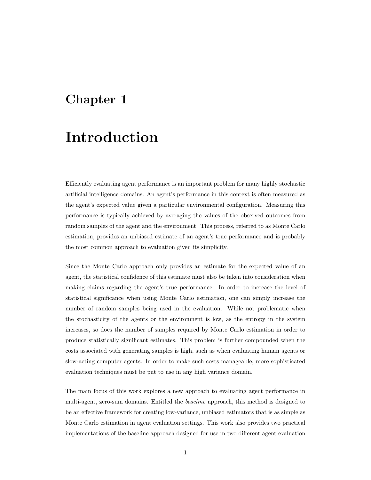## Chapter 1

# Introduction

Efficiently evaluating agent performance is an important problem for many highly stochastic artificial intelligence domains. An agent's performance in this context is often measured as the agent's expected value given a particular environmental configuration. Measuring this performance is typically achieved by averaging the values of the observed outcomes from random samples of the agent and the environment. This process, referred to as Monte Carlo estimation, provides an unbiased estimate of an agent's true performance and is probably the most common approach to evaluation given its simplicity.

Since the Monte Carlo approach only provides an estimate for the expected value of an agent, the statistical confidence of this estimate must also be taken into consideration when making claims regarding the agent's true performance. In order to increase the level of statistical significance when using Monte Carlo estimation, one can simply increase the number of random samples being used in the evaluation. While not problematic when the stochasticity of the agents or the environment is low, as the entropy in the system increases, so does the number of samples required by Monte Carlo estimation in order to produce statistically significant estimates. This problem is further compounded when the costs associated with generating samples is high, such as when evaluating human agents or slow-acting computer agents. In order to make such costs manageable, more sophisticated evaluation techniques must be put to use in any high variance domain.

The main focus of this work explores a new approach to evaluating agent performance in multi-agent, zero-sum domains. Entitled the baseline approach, this method is designed to be an effective framework for creating low-variance, unbiased estimators that is as simple as Monte Carlo estimation in agent evaluation settings. This work also provides two practical implementations of the baseline approach designed for use in two different agent evaluation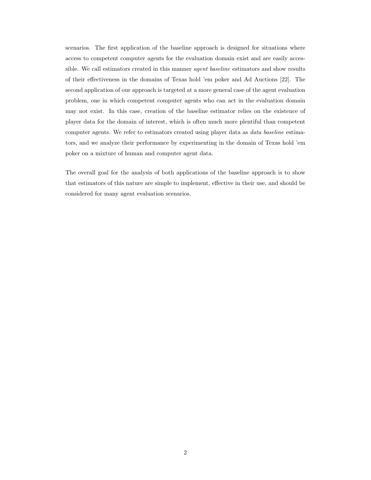scenarios. The first application of the baseline approach is designed for situations where access to competent computer agents for the evaluation domain exist and are easily accessible. We call estimators created in this manner agent baseline estimators and show results of their effectiveness in the domains of Texas hold 'em poker and Ad Auctions [22]. The second application of our approach is targeted at a more general case of the agent evaluation problem, one in which competent computer agents who can act in the evaluation domain may not exist. In this case, creation of the baseline estimator relies on the existence of player data for the domain of interest, which is often much more plentiful than competent computer agents. We refer to estimators created using player data as data baseline estimators, and we analyze their performance by experimenting in the domain of Texas hold 'em poker on a mixture of human and computer agent data.

The overall goal for the analysis of both applications of the baseline approach is to show that estimators of this nature are simple to implement, effective in their use, and should be considered for many agent evaluation scenarios.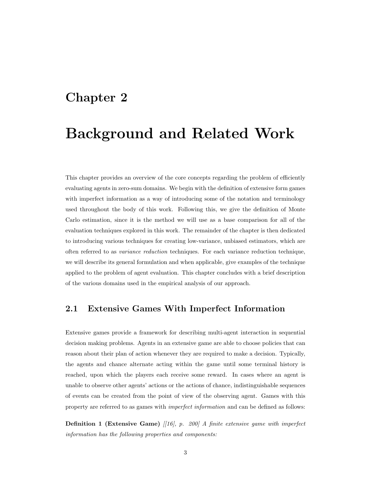## Chapter 2

# Background and Related Work

This chapter provides an overview of the core concepts regarding the problem of efficiently evaluating agents in zero-sum domains. We begin with the definition of extensive form games with imperfect information as a way of introducing some of the notation and terminology used throughout the body of this work. Following this, we give the definition of Monte Carlo estimation, since it is the method we will use as a base comparison for all of the evaluation techniques explored in this work. The remainder of the chapter is then dedicated to introducing various techniques for creating low-variance, unbiased estimators, which are often referred to as variance reduction techniques. For each variance reduction technique, we will describe its general formulation and when applicable, give examples of the technique applied to the problem of agent evaluation. This chapter concludes with a brief description of the various domains used in the empirical analysis of our approach.

### 2.1 Extensive Games With Imperfect Information

Extensive games provide a framework for describing multi-agent interaction in sequential decision making problems. Agents in an extensive game are able to choose policies that can reason about their plan of action whenever they are required to make a decision. Typically, the agents and chance alternate acting within the game until some terminal history is reached, upon which the players each receive some reward. In cases where an agent is unable to observe other agents' actions or the actions of chance, indistinguishable sequences of events can be created from the point of view of the observing agent. Games with this property are referred to as games with *imperfect information* and can be defined as follows:

**Definition 1 (Extensive Game)** [[16], p. 200] A finite extensive game with imperfect information has the following properties and components: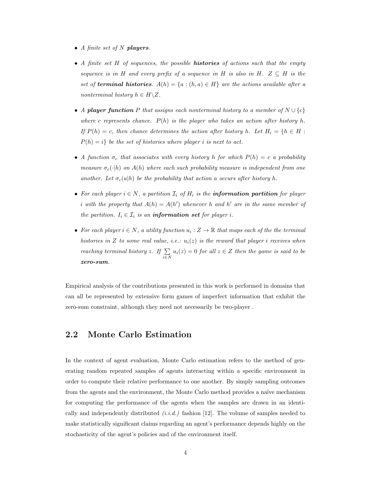- A finite set of  $N$  players.
- A finite set H of sequences, the possible **histories** of actions such that the empty sequence is in H and every prefix of a sequence in H is also in H.  $Z \subseteq H$  is the set of **terminal histories.**  $A(h) = \{a : (h, a) \in H\}$  are the actions available after a nonterminal history  $h \in H \backslash Z$ .
- A player function P that assigns each nonterminal history to a member of  $N \cup \{c\}$ where c represents chance.  $P(h)$  is the player who takes an action after history h. If  $P(h) = c$ , then chance determines the action after history h. Let  $H_i = \{h \in H :$  $P(h) = i$  be the set of histories where player i is next to act.
- A function  $\sigma_c$  that associates with every history h for which  $P(h) = c$  a probability measure  $\sigma_c(\cdot|h)$  on  $A(h)$  where each such probability measure is independent from one another. Let  $\sigma_c(a|h)$  be the probability that action a occurs after history h.
- For each player  $i \in N$ , a partition  $\mathcal{I}_i$  of  $H_i$  is the **information partition** for player i with the property that  $A(h) = A(h')$  whenever h and h' are in the same member of the partition.  $I_i \in \mathcal{I}_i$  is an **information set** for player *i*.
- For each player  $i \in N$ , a utility function  $u_i : Z \to \mathbb{R}$  that maps each of the the terminal histories in Z to some real value, i.e.:  $u_i(z)$  is the reward that player i receives when reaching terminal history z. If  $\Sigma$  $\sum_{i \in N} u_i(z) = 0$  for all  $z \in Z$  then the game is said to be zero-sum.

Empirical analysis of the contributions presented in this work is performed in domains that can all be represented by extensive form games of imperfect information that exhibit the zero-sum constraint, although they need not necessarily be two-player .

### 2.2 Monte Carlo Estimation

In the context of agent evaluation, Monte Carlo estimation refers to the method of generating random repeated samples of agents interacting within a specific environment in order to compute their relative performance to one another. By simply sampling outcomes from the agents and the environment, the Monte Carlo method provides a naïve mechanism for computing the performance of the agents when the samples are drawn in an identically and independently distributed  $(i.i.d.)$  fashion [12]. The volume of samples needed to make statistically significant claims regarding an agent's performance depends highly on the stochasticity of the agent's policies and of the environment itself.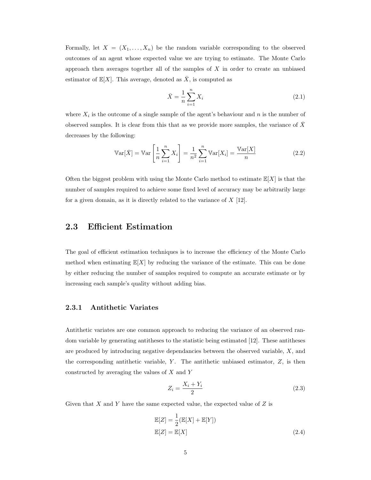Formally, let  $X = (X_1, \ldots, X_n)$  be the random variable corresponding to the observed outcomes of an agent whose expected value we are trying to estimate. The Monte Carlo approach then averages together all of the samples of  $X$  in order to create an unbiased estimator of  $\mathbb{E}[X]$ . This average, denoted as  $\overline{X}$ , is computed as

$$
\bar{X} = \frac{1}{n} \sum_{i=1}^{n} X_i
$$
\n(2.1)

where  $X_i$  is the outcome of a single sample of the agent's behaviour and n is the number of observed samples. It is clear from this that as we provide more samples, the variance of  $\bar{X}$ decreases by the following:

$$
\mathbb{V}\text{ar}[\bar{X}] = \mathbb{V}\text{ar}\left[\frac{1}{n}\sum_{i=1}^{n}X_i\right] = \frac{1}{n^2}\sum_{i=1}^{n}\mathbb{V}\text{ar}[X_i] = \frac{\mathbb{V}\text{ar}[X]}{n} \tag{2.2}
$$

Often the biggest problem with using the Monte Carlo method to estimate  $\mathbb{E}[X]$  is that the number of samples required to achieve some fixed level of accuracy may be arbitrarily large for a given domain, as it is directly related to the variance of  $X$  [12].

### 2.3 Efficient Estimation

The goal of efficient estimation techniques is to increase the efficiency of the Monte Carlo method when estimating  $\mathbb{E}[X]$  by reducing the variance of the estimate. This can be done by either reducing the number of samples required to compute an accurate estimate or by increasing each sample's quality without adding bias.

#### 2.3.1 Antithetic Variates

Antithetic variates are one common approach to reducing the variance of an observed random variable by generating antitheses to the statistic being estimated [12]. These antitheses are produced by introducing negative dependancies between the observed variable, X, and the corresponding antithetic variable,  $Y$ . The antithetic unbiased estimator,  $Z$ , is then constructed by averaging the values of X and Y

$$
Z_i = \frac{X_i + Y_i}{2} \tag{2.3}
$$

Given that  $X$  and  $Y$  have the same expected value, the expected value of  $Z$  is

$$
\mathbb{E}[Z] = \frac{1}{2} (\mathbb{E}[X] + \mathbb{E}[Y])
$$
  

$$
\mathbb{E}[Z] = \mathbb{E}[X]
$$
 (2.4)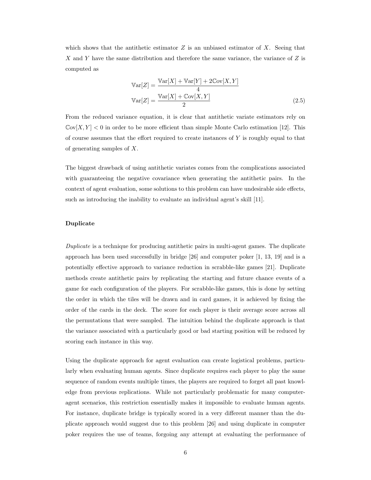which shows that the antithetic estimator  $Z$  is an unbiased estimator of  $X$ . Seeing that X and Y have the same distribution and therefore the same variance, the variance of Z is computed as

$$
\operatorname{Var}[Z] = \frac{\operatorname{Var}[X] + \operatorname{Var}[Y] + 2\operatorname{Cov}[X, Y]}{4}
$$

$$
\operatorname{Var}[Z] = \frac{\operatorname{Var}[X] + \operatorname{Cov}[X, Y]}{2}
$$
(2.5)

From the reduced variance equation, it is clear that antithetic variate estimators rely on  $\mathbb{C}ov[X, Y] < 0$  in order to be more efficient than simple Monte Carlo estimation [12]. This of course assumes that the effort required to create instances of  $Y$  is roughly equal to that of generating samples of X.

The biggest drawback of using antithetic variates comes from the complications associated with guaranteeing the negative covariance when generating the antithetic pairs. In the context of agent evaluation, some solutions to this problem can have undesirable side effects, such as introducing the inability to evaluate an individual agent's skill [11].

#### Duplicate

Duplicate is a technique for producing antithetic pairs in multi-agent games. The duplicate approach has been used successfully in bridge [26] and computer poker [1, 13, 19] and is a potentially effective approach to variance reduction in scrabble-like games [21]. Duplicate methods create antithetic pairs by replicating the starting and future chance events of a game for each configuration of the players. For scrabble-like games, this is done by setting the order in which the tiles will be drawn and in card games, it is achieved by fixing the order of the cards in the deck. The score for each player is their average score across all the permutations that were sampled. The intuition behind the duplicate approach is that the variance associated with a particularly good or bad starting position will be reduced by scoring each instance in this way.

Using the duplicate approach for agent evaluation can create logistical problems, particularly when evaluating human agents. Since duplicate requires each player to play the same sequence of random events multiple times, the players are required to forget all past knowledge from previous replications. While not particularly problematic for many computeragent scenarios, this restriction essentially makes it impossible to evaluate human agents. For instance, duplicate bridge is typically scored in a very different manner than the duplicate approach would suggest due to this problem [26] and using duplicate in computer poker requires the use of teams, forgoing any attempt at evaluating the performance of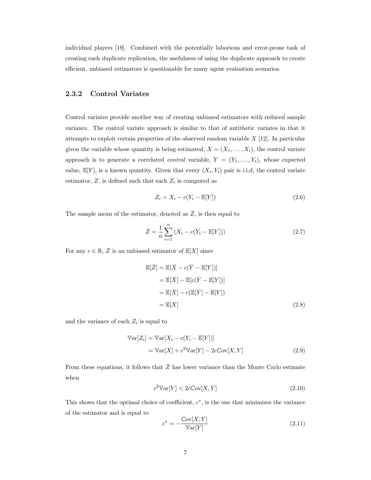individual players [19]. Combined with the potentially laborious and error-prone task of creating each duplicate replication, the usefulness of using the duplicate approach to create efficient, unbiased estimators is questionable for many agent evaluation scenarios.

#### 2.3.2 Control Variates

Control variates provide another way of creating unbiased estimators with reduced sample variance. The control variate approach is similar to that of antithetic variates in that it attempts to exploit certain properties of the observed random variable  $X$  [12]. In particular given the variable whose quantity is being estimated,  $X = (X_1, \ldots, X_i)$ , the control variate approach is to generate a correlated *control* variable,  $Y = (Y_1, \ldots, Y_i)$ , whose expected value,  $\mathbb{E}[Y]$ , is a known quantity. Given that every  $(X_i, Y_i)$  pair is i.i.d, the control variate estimator,  $Z$ , is defined such that each  $Z_i$  is computed as

$$
Z_i = X_i - c(Y_i - \mathbb{E}[Y])
$$
\n
$$
(2.6)
$$

The sample mean of the estimator, denoted as  $\overline{Z}$ , is then equal to

$$
\bar{Z} = \frac{1}{n} \sum_{i=1}^{n} (X_i - c(Y_i - \mathbb{E}[Y]))
$$
\n(2.7)

For any  $c \in \mathbb{R}, \overline{Z}$  is an unbiased estimator of  $\mathbb{E}[X]$  since

$$
\mathbb{E}[\bar{Z}] = \mathbb{E}[\bar{X} - c(\bar{Y} - \mathbb{E}[Y])]
$$
  
\n
$$
= \mathbb{E}[\bar{X}] - \mathbb{E}[c(\bar{Y} - \mathbb{E}[Y])]
$$
  
\n
$$
= \mathbb{E}[\bar{X}] - c(\mathbb{E}[\bar{Y}] - \mathbb{E}[Y])
$$
  
\n
$$
= \mathbb{E}[X]
$$
 (2.8)

and the variance of each  $Z_i$  is equal to

$$
\mathbb{V}\text{ar}[Z_i] = \mathbb{V}\text{ar}[X_i - c(Y_i - \mathbb{E}[Y])]
$$

$$
= \mathbb{V}\text{ar}[X] + c^2 \mathbb{V}\text{ar}[Y] - 2c \mathbb{C}\text{ov}[X, Y] \tag{2.9}
$$

From these equations, it follows that  $\bar{Z}$  has lower variance than the Monte Carlo estimate when

$$
c^2 \mathbb{V}\text{ar}[Y] < 2c \mathbb{C}\text{ov}[X, Y] \tag{2.10}
$$

This shows that the optimal choice of coefficient,  $c^*$ , is the one that minimizes the variance of the estimator and is equal to

$$
c^* = -\frac{\text{Cov}[X, Y]}{\text{Var}[Y]} \tag{2.11}
$$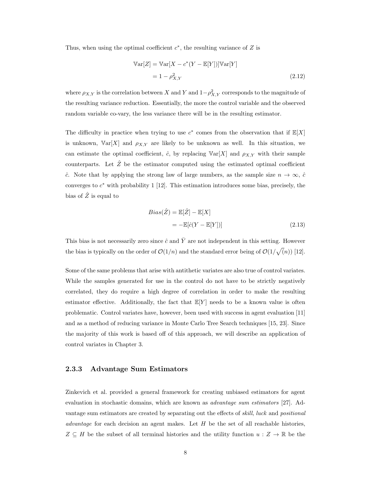Thus, when using the optimal coefficient  $c^*$ , the resulting variance of  $Z$  is

$$
\mathbb{V}\text{ar}[Z] = \mathbb{V}\text{ar}[X - c^*(Y - \mathbb{E}[Y])]\mathbb{V}\text{ar}[Y]
$$

$$
= 1 - \rho_{X,Y}^2
$$
(2.12)

where  $\rho_{X,Y}$  is the correlation between X and Y and  $1-\rho_{X,Y}^2$  corresponds to the magnitude of the resulting variance reduction. Essentially, the more the control variable and the observed random variable co-vary, the less variance there will be in the resulting estimator.

The difficulty in practice when trying to use  $c^*$  comes from the observation that if  $\mathbb{E}[X]$ is unknown,  $Var[X]$  and  $\rho_{X,Y}$  are likely to be unknown as well. In this situation, we can estimate the optimal coefficient,  $\hat{c}$ , by replacing  $\mathbb{V}\text{ar}[X]$  and  $\rho_{X,Y}$  with their sample counterparts. Let  $\hat{Z}$  be the estimator computed using the estimated optimal coefficient ĉ. Note that by applying the strong law of large numbers, as the sample size  $n \to \infty$ , ĉ converges to  $c^*$  with probability 1 [12]. This estimation introduces some bias, precisely, the bias of  $\hat{Z}$  is equal to

$$
Bias(\hat{Z}) = \mathbb{E}[\hat{Z}] - \mathbb{E}[X]
$$

$$
= -\mathbb{E}[\hat{c}(Y - \mathbb{E}[Y])]
$$
(2.13)

This bias is not necessarily zero since  $\hat{c}$  and  $\overline{Y}$  are not independent in this setting. However the bias is typically on the order of  $\mathcal{O}(1/n)$  and the standard error being of  $\mathcal{O}(1/\sqrt(n))$  [12].

Some of the same problems that arise with antithetic variates are also true of control variates. While the samples generated for use in the control do not have to be strictly negatively correlated, they do require a high degree of correlation in order to make the resulting estimator effective. Additionally, the fact that  $E[Y]$  needs to be a known value is often problematic. Control variates have, however, been used with success in agent evaluation [11] and as a method of reducing variance in Monte Carlo Tree Search techniques [15, 23]. Since the majority of this work is based off of this approach, we will describe an application of control variates in Chapter 3.

#### 2.3.3 Advantage Sum Estimators

Zinkevich et al. provided a general framework for creating unbiased estimators for agent evaluation in stochastic domains, which are known as *advantage sum estimators* [27]. Advantage sum estimators are created by separating out the effects of skill, luck and positional *advantage* for each decision an agent makes. Let  $H$  be the set of all reachable histories,  $Z \subseteq H$  be the subset of all terminal histories and the utility function  $u : Z \to \mathbb{R}$  be the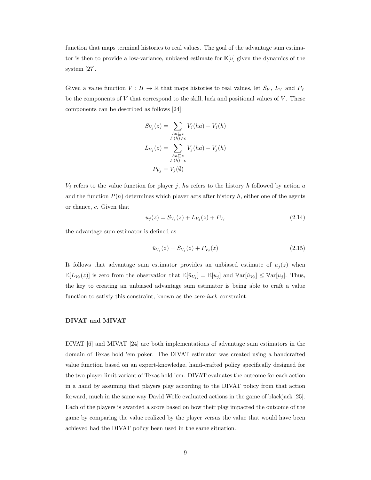function that maps terminal histories to real values. The goal of the advantage sum estimator is then to provide a low-variance, unbiased estimate for  $\mathbb{E}[u]$  given the dynamics of the system [27].

Given a value function  $V : H \to \mathbb{R}$  that maps histories to real values, let  $S_V$ ,  $L_V$  and  $P_V$ be the components of  $V$  that correspond to the skill, luck and positional values of  $V$ . These components can be described as follows [24]:

$$
S_{V_j}(z) = \sum_{\substack{ha \sqsubseteq z \\ P(h) \neq c}} V_j(ha) - V_j(h)
$$

$$
L_{V_j}(z) = \sum_{\substack{ha \sqsubseteq z \\ P(h) = c}} V_j(ha) - V_j(h)
$$

$$
P_{V_j} = V_j(\emptyset)
$$

 $V_j$  refers to the value function for player j, ha refers to the history h followed by action a and the function  $P(h)$  determines which player acts after history h, either one of the agents or chance, c. Given that

$$
u_j(z) = S_{V_j}(z) + L_{V_j}(z) + P_{V_j}
$$
\n(2.14)

the advantage sum estimator is defined as

$$
\hat{u}_{V_j}(z) = S_{V_j}(z) + P_{V_j}(z) \tag{2.15}
$$

It follows that advantage sum estimator provides an unbiased estimate of  $u_i(z)$  when  $\mathbb{E}[L_{V_j}(z)]$  is zero from the observation that  $\mathbb{E}[\hat{u}_{V_j}] = \mathbb{E}[u_j]$  and  $\mathbb{V}\text{ar}[\hat{u}_{V_j}] \leq \mathbb{V}\text{ar}[u_j]$ . Thus, the key to creating an unbiased advantage sum estimator is being able to craft a value function to satisfy this constraint, known as the zero-luck constraint.

#### DIVAT and MIVAT

DIVAT [6] and MIVAT [24] are both implementations of advantage sum estimators in the domain of Texas hold 'em poker. The DIVAT estimator was created using a handcrafted value function based on an expert-knowledge, hand-crafted policy specifically designed for the two-player limit variant of Texas hold 'em. DIVAT evaluates the outcome for each action in a hand by assuming that players play according to the DIVAT policy from that action forward, much in the same way David Wolfe evaluated actions in the game of blackjack [25]. Each of the players is awarded a score based on how their play impacted the outcome of the game by comparing the value realized by the player versus the value that would have been achieved had the DIVAT policy been used in the same situation.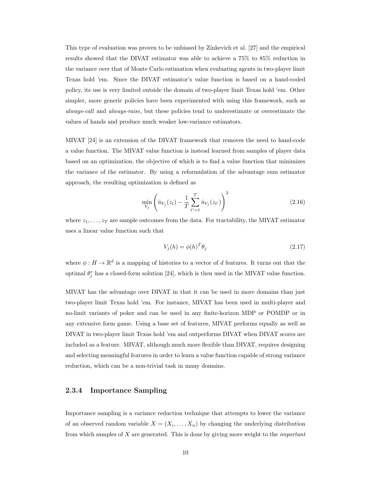This type of evaluation was proven to be unbiased by Zinkevich et al. [27] and the empirical results showed that the DIVAT estimator was able to achieve a 75% to 85% reduction in the variance over that of Monte Carlo estimation when evaluating agents in two-player limit Texas hold 'em. Since the DIVAT estimator's value function is based on a hand-coded policy, its use is very limited outside the domain of two-player limit Texas hold 'em. Other simpler, more generic policies have been experimented with using this framework, such as always-call and always-raise, but these policies tend to underestimate or overestimate the values of hands and produce much weaker low-variance estimators.

MIVAT [24] is an extension of the DIVAT framework that removes the need to hand-code a value function. The MIVAT value function is instead learned from samples of player data based on an optimization, the objective of which is to find a value function that minimizes the variance of the estimator. By using a reformulation of the advantage sum estimator approach, the resulting optimization is defined as

$$
\min_{V_j} \left( \hat{u}_{V_j}(z_t) - \frac{1}{T} \sum_{t'=1}^T \hat{u}_{V_j}(z_{t'}) \right)^2 \tag{2.16}
$$

where  $z_1, \ldots, z_T$  are sample outcomes from the data. For tractability, the MIVAT estimator uses a linear value function such that

$$
V_j(h) = \phi(h)^T \theta_j \tag{2.17}
$$

where  $\phi: H \to \mathbb{R}^d$  is a mapping of histories to a vector of d features. It turns out that the optimal  $\theta_j^*$  has a closed-form solution [24], which is then used in the MIVAT value function.

MIVAT has the advantage over DIVAT in that it can be used in more domains than just two-player limit Texas hold 'em. For instance, MIVAT has been used in multi-player and no-limit variants of poker and can be used in any finite-horizon MDP or POMDP or in any extensive form game. Using a base set of features, MIVAT performs equally as well as DIVAT in two-player limit Texas hold 'em and outperforms DIVAT when DIVAT scores are included as a feature. MIVAT, although much more flexible than DIVAT, requires designing and selecting meaningful features in order to learn a value function capable of strong variance reduction, which can be a non-trivial task in many domains.

#### 2.3.4 Importance Sampling

Importance sampling is a variance reduction technique that attempts to lower the variance of an observed random variable  $X = (X_i, \ldots, X_n)$  by changing the underlying distribution from which samples of X are generated. This is done by giving more weight to the important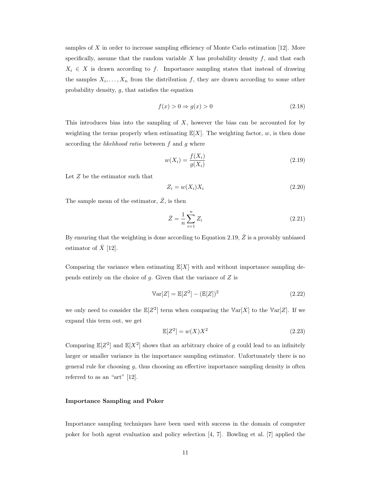samples of X in order to increase sampling efficiency of Monte Carlo estimation  $[12]$ . More specifically, assume that the random variable  $X$  has probability density  $f$ , and that each  $X_i \in X$  is drawn according to f. Importance sampling states that instead of drawing the samples  $X_i, \ldots, X_n$  from the distribution f, they are drawn according to some other probability density,  $g$ , that satisfies the equation

$$
f(x) > 0 \Rightarrow g(x) > 0 \tag{2.18}
$$

This introduces bias into the sampling of  $X$ , however the bias can be accounted for by weighting the terms properly when estimating  $E[X]$ . The weighting factor,  $w$ , is then done according the likelihood ratio between f and g where

$$
w(X_i) = \frac{f(X_i)}{g(X_i)}\tag{2.19}
$$

Let Z be the estimator such that

$$
Z_i = w(X_i)X_i \tag{2.20}
$$

The sample mean of the estimator,  $\bar{Z}$ , is then

$$
\bar{Z} = \frac{1}{n} \sum_{i=1}^{n} Z_i
$$
\n(2.21)

By ensuring that the weighting is done according to Equation 2.19,  $\bar{Z}$  is a provably unbiased estimator of  $\overline{X}$  [12].

Comparing the variance when estimating  $E[X]$  with and without importance sampling depends entirely on the choice of  $g$ . Given that the variance of  $Z$  is

$$
\mathbb{V}\text{ar}[Z] = \mathbb{E}[Z^2] - (\mathbb{E}[Z])^2 \tag{2.22}
$$

we only need to consider the  $\mathbb{E}[Z^2]$  term when comparing the  $\mathbb{Var}[X]$  to the  $\mathbb{Var}[Z]$ . If we expand this term out, we get

$$
\mathbb{E}[Z^2] = w(X)X^2 \tag{2.23}
$$

Comparing  $\mathbb{E}[Z^2]$  and  $\mathbb{E}[X^2]$  shows that an arbitrary choice of g could lead to an infinitely larger or smaller variance in the importance sampling estimator. Unfortunately there is no general rule for choosing  $g$ , thus choosing an effective importance sampling density is often referred to as an "art" [12].

#### Importance Sampling and Poker

Importance sampling techniques have been used with success in the domain of computer poker for both agent evaluation and policy selection [4, 7]. Bowling et al. [7] applied the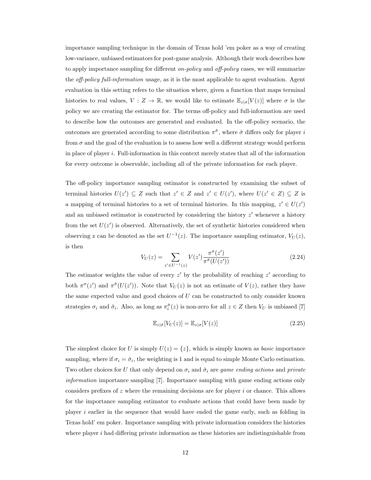importance sampling technique in the domain of Texas hold 'em poker as a way of creating low-variance, unbiased estimators for post-game analysis. Although their work describes how to apply importance sampling for different on-policy and off-policy cases, we will summarize the *off-policy full-information* usage, as it is the most applicable to agent evaluation. Agent evaluation in this setting refers to the situation where, given a function that maps terminal histories to real values,  $V : Z \to \mathbb{R}$ , we would like to estimate  $\mathbb{E}_{z|\sigma}[V(z)]$  where  $\sigma$  is the policy we are creating the estimator for. The terms off-policy and full-information are used to describe how the outcomes are generated and evaluated. In the off-policy scenario, the outcomes are generated according to some distribution  $\pi^{\hat{\sigma}}$ , where  $\hat{\sigma}$  differs only for player i from  $\sigma$  and the goal of the evaluation is to assess how well a different strategy would perform in place of player i. Full-information in this context merely states that all of the information for every outcome is observable, including all of the private information for each player.

The off-policy importance sampling estimator is constructed by examining the subset of terminal histories  $U(z') \subseteq Z$  such that  $z' \in Z$  and  $z' \in U(z')$ , where  $U(z' \in Z) \subseteq Z$  is a mapping of terminal histories to a set of terminal histories. In this mapping,  $z' \in U(z')$ and an unbiased estimator is constructed by considering the history  $z'$  whenever a history from the set  $U(z')$  is observed. Alternatively, the set of synthetic histories considered when observing z can be denoted as the set  $U^{-1}(z)$ . The importance sampling estimator,  $V_U(z)$ , is then

$$
V_U(z) = \sum_{z' \in U^{-1}(z)} V(z') \frac{\pi^{\sigma}(z')}{\pi^{\hat{\sigma}}(U(z'))}
$$
\n(2.24)

The estimator weights the value of every  $z'$  by the probability of reaching  $z'$  according to both  $\pi^{\sigma}(z')$  and  $\pi^{\hat{\sigma}}(U(z'))$ . Note that  $V_U(z)$  is not an estimate of  $V(z)$ , rather they have the same expected value and good choices of  $U$  can be constructed to only consider known strategies  $\sigma_i$  and  $\hat{\sigma}_i$ . Also, as long as  $\pi_i^{\hat{\sigma}}(z)$  is non-zero for all  $z \in Z$  then  $V_U$  is unbiased [7]

$$
\mathbb{E}_{z|\hat{\sigma}}[V_U(z)] = \mathbb{E}_{z|\sigma}[V(z)] \tag{2.25}
$$

The simplest choice for U is simply  $U(z) = \{z\}$ , which is simply known as *basic* importance sampling, where if  $\sigma_i = \hat{\sigma}_i$ , the weighting is 1 and is equal to simple Monte Carlo estimation. Two other choices for U that only depend on  $\sigma_i$  and  $\hat{\sigma}_i$  are game ending actions and private information importance sampling [7]. Importance sampling with game ending actions only considers prefixes of z where the remaining decisions are for player i or chance. This allows for the importance sampling estimator to evaluate actions that could have been made by player i earlier in the sequence that would have ended the game early, such as folding in Texas hold' em poker. Importance sampling with private information considers the histories where player  $i$  had differing private information as these histories are indistinguishable from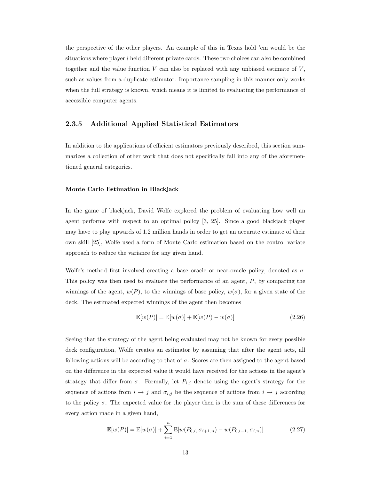the perspective of the other players. An example of this in Texas hold 'em would be the situations where player i held different private cards. These two choices can also be combined together and the value function  $V$  can also be replaced with any unbiased estimate of  $V$ , such as values from a duplicate estimator. Importance sampling in this manner only works when the full strategy is known, which means it is limited to evaluating the performance of accessible computer agents.

#### 2.3.5 Additional Applied Statistical Estimators

In addition to the applications of efficient estimators previously described, this section summarizes a collection of other work that does not specifically fall into any of the aforementioned general categories.

#### Monte Carlo Estimation in Blackjack

In the game of blackjack, David Wolfe explored the problem of evaluating how well an agent performs with respect to an optimal policy [3, 25]. Since a good blackjack player may have to play upwards of 1.2 million hands in order to get an accurate estimate of their own skill [25], Wolfe used a form of Monte Carlo estimation based on the control variate approach to reduce the variance for any given hand.

Wolfe's method first involved creating a base oracle or near-oracle policy, denoted as  $\sigma$ . This policy was then used to evaluate the performance of an agent, P, by comparing the winnings of the agent,  $w(P)$ , to the winnings of base policy,  $w(\sigma)$ , for a given state of the deck. The estimated expected winnings of the agent then becomes

$$
\mathbb{E}[w(P)] = \mathbb{E}[w(\sigma)] + \mathbb{E}[w(P) - w(\sigma)] \tag{2.26}
$$

Seeing that the strategy of the agent being evaluated may not be known for every possible deck configuration, Wolfe creates an estimator by assuming that after the agent acts, all following actions will be according to that of  $\sigma$ . Scores are then assigned to the agent based on the difference in the expected value it would have received for the actions in the agent's strategy that differ from  $\sigma$ . Formally, let  $P_{i,j}$  denote using the agent's strategy for the sequence of actions from  $i \to j$  and  $\sigma_{i,j}$  be the sequence of actions from  $i \to j$  according to the policy  $\sigma$ . The expected value for the player then is the sum of these differences for every action made in a given hand,

$$
\mathbb{E}[w(P)] = \mathbb{E}[w(\sigma)] + \sum_{i=1}^{n} \mathbb{E}[w(P_{0,i}, \sigma_{i+1,n}) - w(P_{0,i-1}, \sigma_{i,n})]
$$
(2.27)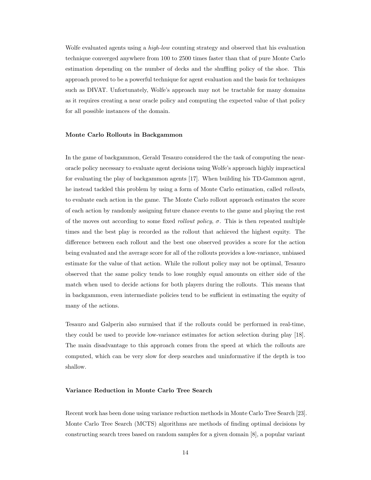Wolfe evaluated agents using a *high-low* counting strategy and observed that his evaluation technique converged anywhere from 100 to 2500 times faster than that of pure Monte Carlo estimation depending on the number of decks and the shuffling policy of the shoe. This approach proved to be a powerful technique for agent evaluation and the basis for techniques such as DIVAT. Unfortunately, Wolfe's approach may not be tractable for many domains as it requires creating a near oracle policy and computing the expected value of that policy for all possible instances of the domain.

#### Monte Carlo Rollouts in Backgammon

In the game of backgammon, Gerald Tesauro considered the the task of computing the nearoracle policy necessary to evaluate agent decisions using Wolfe's approach highly impractical for evaluating the play of backgammon agents [17]. When building his TD-Gammon agent, he instead tackled this problem by using a form of Monte Carlo estimation, called rollouts, to evaluate each action in the game. The Monte Carlo rollout approach estimates the score of each action by randomly assigning future chance events to the game and playing the rest of the moves out according to some fixed *rollout policy*,  $\sigma$ . This is then repeated multiple times and the best play is recorded as the rollout that achieved the highest equity. The difference between each rollout and the best one observed provides a score for the action being evaluated and the average score for all of the rollouts provides a low-variance, unbiased estimate for the value of that action. While the rollout policy may not be optimal, Tesauro observed that the same policy tends to lose roughly equal amounts on either side of the match when used to decide actions for both players during the rollouts. This means that in backgammon, even intermediate policies tend to be sufficient in estimating the equity of many of the actions.

Tesauro and Galperin also surmised that if the rollouts could be performed in real-time, they could be used to provide low-variance estimates for action selection during play [18]. The main disadvantage to this approach comes from the speed at which the rollouts are computed, which can be very slow for deep searches and uninformative if the depth is too shallow.

#### Variance Reduction in Monte Carlo Tree Search

Recent work has been done using variance reduction methods in Monte Carlo Tree Search [23]. Monte Carlo Tree Search (MCTS) algorithms are methods of finding optimal decisions by constructing search trees based on random samples for a given domain [8], a popular variant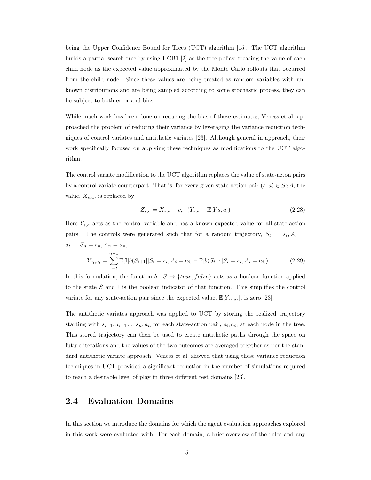being the Upper Confidence Bound for Trees (UCT) algorithm [15]. The UCT algorithm builds a partial search tree by using UCB1 [2] as the tree policy, treating the value of each child node as the expected value approximated by the Monte Carlo rollouts that occurred from the child node. Since these values are being treated as random variables with unknown distributions and are being sampled according to some stochastic process, they can be subject to both error and bias.

While much work has been done on reducing the bias of these estimates, Veness et al. approached the problem of reducing their variance by leveraging the variance reduction techniques of control variates and antithetic variates [23]. Although general in approach, their work specifically focused on applying these techniques as modifications to the UCT algorithm.

The control variate modification to the UCT algorithm replaces the value of state-acton pairs by a control variate counterpart. That is, for every given state-action pair  $(s, a) \in S x A$ , the value,  $X_{s,a}$ , is replaced by

$$
Z_{s,a} = X_{s,a} - c_{s,a}(Y_{s,a} - \mathbb{E}[Y_s, a])
$$
\n(2.28)

Here  $Y_{s,a}$  acts as the control variable and has a known expected value for all state-action pairs. The controls were generated such that for a random trajectory,  $S_t = s_t, A_t =$  $a_t \dots S_n = s_n, A_n = a_n,$ 

$$
Y_{s_t, a_t} = \sum_{i=t}^{n-1} \mathbb{E}[\mathbb{I}[b(S_{i+1})|S_i = s_i, A_i = a_i] - \mathbb{P}[b(S_{i+1}|S_i = s_i, A_i = a_i]) \tag{2.29}
$$

In this formulation, the function  $b : S \to \{true, false\}$  acts as a boolean function applied to the state S and  $\mathbb I$  is the boolean indicator of that function. This simplifies the control variate for any state-action pair since the expected value,  $\mathbb{E}[Y_{s_t,a_t}]$ , is zero [23].

The antithetic variates approach was applied to UCT by storing the realized trajectory starting with  $s_{i+1}, a_{i+1} \ldots s_n, a_n$  for each state-action pair,  $s_i, a_i$ , at each node in the tree. This stored trajectory can then be used to create antithetic paths through the space on future iterations and the values of the two outcomes are averaged together as per the standard antithetic variate approach. Veness et al. showed that using these variance reduction techniques in UCT provided a significant reduction in the number of simulations required to reach a desirable level of play in three different test domains [23].

## 2.4 Evaluation Domains

In this section we introduce the domains for which the agent evaluation approaches explored in this work were evaluated with. For each domain, a brief overview of the rules and any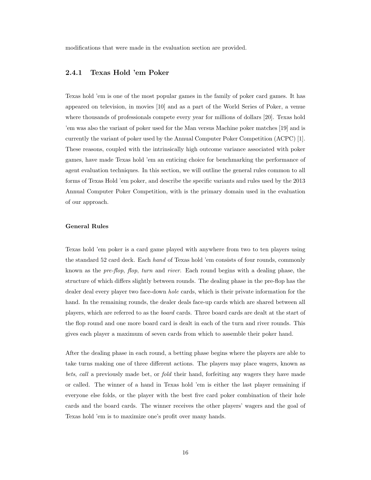modifications that were made in the evaluation section are provided.

#### 2.4.1 Texas Hold 'em Poker

Texas hold 'em is one of the most popular games in the family of poker card games. It has appeared on television, in movies [10] and as a part of the World Series of Poker, a venue where thousands of professionals compete every year for millions of dollars [20]. Texas hold 'em was also the variant of poker used for the Man versus Machine poker matches [19] and is currently the variant of poker used by the Annual Computer Poker Competition (ACPC) [1]. These reasons, coupled with the intrinsically high outcome variance associated with poker games, have made Texas hold 'em an enticing choice for benchmarking the performance of agent evaluation techniques. In this section, we will outline the general rules common to all forms of Texas Hold 'em poker, and describe the specific variants and rules used by the 2013 Annual Computer Poker Competition, with is the primary domain used in the evaluation of our approach.

#### General Rules

Texas hold 'em poker is a card game played with anywhere from two to ten players using the standard 52 card deck. Each hand of Texas hold 'em consists of four rounds, commonly known as the pre-flop, flop, turn and river. Each round begins with a dealing phase, the structure of which differs slightly between rounds. The dealing phase in the pre-flop has the dealer deal every player two face-down hole cards, which is their private information for the hand. In the remaining rounds, the dealer deals face-up cards which are shared between all players, which are referred to as the board cards. Three board cards are dealt at the start of the flop round and one more board card is dealt in each of the turn and river rounds. This gives each player a maximum of seven cards from which to assemble their poker hand.

After the dealing phase in each round, a betting phase begins where the players are able to take turns making one of three different actions. The players may place wagers, known as bets, call a previously made bet, or fold their hand, forfeiting any wagers they have made or called. The winner of a hand in Texas hold 'em is either the last player remaining if everyone else folds, or the player with the best five card poker combination of their hole cards and the board cards. The winner receives the other players' wagers and the goal of Texas hold 'em is to maximize one's profit over many hands.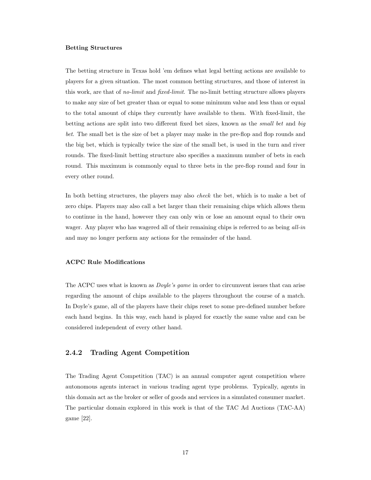#### Betting Structures

The betting structure in Texas hold 'em defines what legal betting actions are available to players for a given situation. The most common betting structures, and those of interest in this work, are that of *no-limit* and *fixed-limit*. The no-limit betting structure allows players to make any size of bet greater than or equal to some minimum value and less than or equal to the total amount of chips they currently have available to them. With fixed-limit, the betting actions are split into two different fixed bet sizes, known as the *small bet* and *big* bet. The small bet is the size of bet a player may make in the pre-flop and flop rounds and the big bet, which is typically twice the size of the small bet, is used in the turn and river rounds. The fixed-limit betting structure also specifies a maximum number of bets in each round. This maximum is commonly equal to three bets in the pre-flop round and four in every other round.

In both betting structures, the players may also *check* the bet, which is to make a bet of zero chips. Players may also call a bet larger than their remaining chips which allows them to continue in the hand, however they can only win or lose an amount equal to their own wager. Any player who has wagered all of their remaining chips is referred to as being all-in and may no longer perform any actions for the remainder of the hand.

#### ACPC Rule Modifications

The ACPC uses what is known as *Doyle's game* in order to circumvent issues that can arise regarding the amount of chips available to the players throughout the course of a match. In Doyle's game, all of the players have their chips reset to some pre-defined number before each hand begins. In this way, each hand is played for exactly the same value and can be considered independent of every other hand.

#### 2.4.2 Trading Agent Competition

The Trading Agent Competition (TAC) is an annual computer agent competition where autonomous agents interact in various trading agent type problems. Typically, agents in this domain act as the broker or seller of goods and services in a simulated consumer market. The particular domain explored in this work is that of the TAC Ad Auctions (TAC-AA) game [22].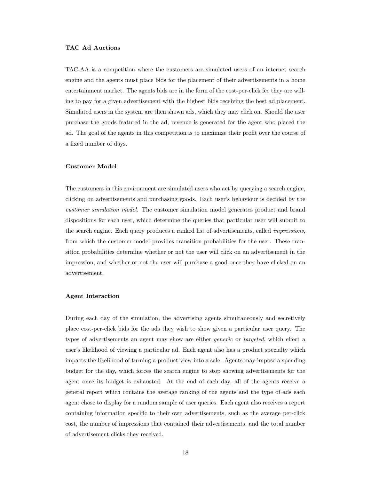#### TAC Ad Auctions

TAC-AA is a competition where the customers are simulated users of an internet search engine and the agents must place bids for the placement of their advertisements in a home entertainment market. The agents bids are in the form of the cost-per-click fee they are willing to pay for a given advertisement with the highest bids receiving the best ad placement. Simulated users in the system are then shown ads, which they may click on. Should the user purchase the goods featured in the ad, revenue is generated for the agent who placed the ad. The goal of the agents in this competition is to maximize their profit over the course of a fixed number of days.

#### Customer Model

The customers in this environment are simulated users who act by querying a search engine, clicking on advertisements and purchasing goods. Each user's behaviour is decided by the customer simulation model. The customer simulation model generates product and brand dispositions for each user, which determine the queries that particular user will submit to the search engine. Each query produces a ranked list of advertisements, called impressions, from which the customer model provides transition probabilities for the user. These transition probabilities determine whether or not the user will click on an advertisement in the impression, and whether or not the user will purchase a good once they have clicked on an advertisement.

#### Agent Interaction

During each day of the simulation, the advertising agents simultaneously and secretively place cost-per-click bids for the ads they wish to show given a particular user query. The types of advertisements an agent may show are either generic or targeted, which effect a user's likelihood of viewing a particular ad. Each agent also has a product specialty which impacts the likelihood of turning a product view into a sale. Agents may impose a spending budget for the day, which forces the search engine to stop showing advertisements for the agent once its budget is exhausted. At the end of each day, all of the agents receive a general report which contains the average ranking of the agents and the type of ads each agent chose to display for a random sample of user queries. Each agent also receives a report containing information specific to their own advertisements, such as the average per-click cost, the number of impressions that contained their advertisements, and the total number of advertisement clicks they received.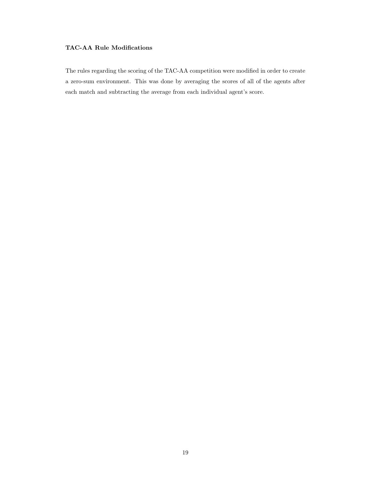### TAC-AA Rule Modifications

The rules regarding the scoring of the TAC-AA competition were modified in order to create a zero-sum environment. This was done by averaging the scores of all of the agents after each match and subtracting the average from each individual agent's score.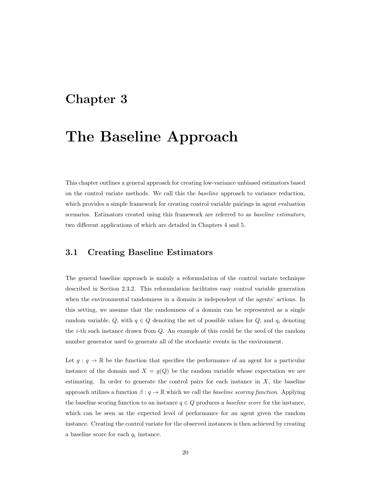## Chapter 3

## The Baseline Approach

This chapter outlines a general approach for creating low-variance unbiased estimators based on the control variate methods. We call this the baseline approach to variance reduction, which provides a simple framework for creating control variable pairings in agent evaluation scenarios. Estimators created using this framework are referred to as baseline estimators, two different applications of which are detailed in Chapters 4 and 5.

### 3.1 Creating Baseline Estimators

The general baseline approach is mainly a reformulation of the control variate technique described in Section 2.3.2. This reformulation facilitates easy control variable generation when the environmental randomness in a domain is independent of the agents' actions. In this setting, we assume that the randomness of a domain can be represented as a single random variable, Q, with  $q \in Q$  denoting the set of possible values for Q, and  $q_i$  denoting the i-th such instance drawn from Q. An example of this could be the seed of the random number generator used to generate all of the stochastic events in the environment.

Let  $g: q \to \mathbb{R}$  be the function that specifies the performance of an agent for a particular instance of the domain and  $X = g(Q)$  be the random variable whose expectation we are estimating. In order to generate the control pairs for each instance in  $X$ , the baseline approach utilizes a function  $\beta: q \to \mathbb{R}$  which we call the baseline scoring function. Applying the baseline scoring function to an instance  $q \in Q$  produces a *baseline score* for the instance, which can be seen as the expected level of performance for an agent given the random instance. Creating the control variate for the observed instances is then achieved by creating a baseline score for each  $q_i$  instance.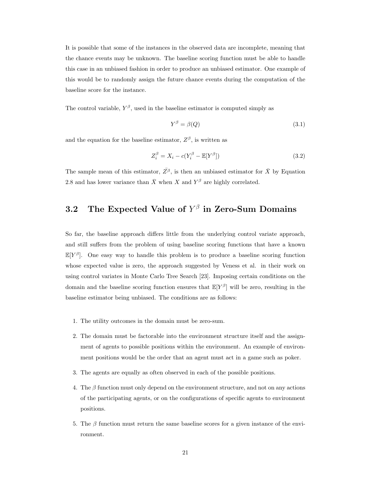It is possible that some of the instances in the observed data are incomplete, meaning that the chance events may be unknown. The baseline scoring function must be able to handle this case in an unbiased fashion in order to produce an unbiased estimator. One example of this would be to randomly assign the future chance events during the computation of the baseline score for the instance.

The control variable,  $Y^{\beta}$ , used in the baseline estimator is computed simply as

$$
Y^{\beta} = \beta(Q) \tag{3.1}
$$

and the equation for the baseline estimator,  $Z^{\beta}$ , is written as

$$
Z_i^{\beta} = X_i - c(Y_i^{\beta} - \mathbb{E}[Y^{\beta}])
$$
\n(3.2)

The sample mean of this estimator,  $\overline{Z}^{\beta}$ , is then an unbiased estimator for  $\overline{X}$  by Equation 2.8 and has lower variance than  $\bar{X}$  when X and  $Y^{\beta}$  are highly correlated.

## 3.2 The Expected Value of  $Y^{\beta}$  in Zero-Sum Domains

So far, the baseline approach differs little from the underlying control variate approach, and still suffers from the problem of using baseline scoring functions that have a known  $\mathbb{E}[Y^{\beta}]$ . One easy way to handle this problem is to produce a baseline scoring function whose expected value is zero, the approach suggested by Veness et al. in their work on using control variates in Monte Carlo Tree Search [23]. Imposing certain conditions on the domain and the baseline scoring function ensures that  $\mathbb{E}[Y^{\beta}]$  will be zero, resulting in the baseline estimator being unbiased. The conditions are as follows:

- 1. The utility outcomes in the domain must be zero-sum.
- 2. The domain must be factorable into the environment structure itself and the assignment of agents to possible positions within the environment. An example of environment positions would be the order that an agent must act in a game such as poker.
- 3. The agents are equally as often observed in each of the possible positions.
- 4. The  $\beta$  function must only depend on the environment structure, and not on any actions of the participating agents, or on the configurations of specific agents to environment positions.
- 5. The  $\beta$  function must return the same baseline scores for a given instance of the environment.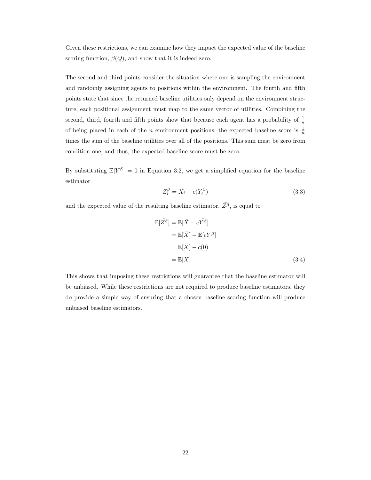Given these restrictions, we can examine how they impact the expected value of the baseline scoring function,  $\beta(Q)$ , and show that it is indeed zero.

The second and third points consider the situation where one is sampling the environment and randomly assigning agents to positions within the environment. The fourth and fifth points state that since the returned baseline utilities only depend on the environment structure, each positional assignment must map to the same vector of utilities. Combining the second, third, fourth and fifth points show that because each agent has a probability of  $\frac{1}{n}$ of being placed in each of the *n* environment positions, the expected baseline score is  $\frac{1}{n}$ times the sum of the baseline utilities over all of the positions. This sum must be zero from condition one, and thus, the expected baseline score must be zero.

By substituting  $\mathbb{E}[Y^{\beta}] = 0$  in Equation 3.2, we get a simplified equation for the baseline estimator

$$
Z_i^{\beta} = X_i - c(Y_i^{\beta})
$$
\n
$$
(3.3)
$$

and the expected value of the resulting baseline estimator,  $\overline{Z^{\beta}}$ , is equal to

$$
\mathbb{E}[\overline{Z}^{\beta}] = \mathbb{E}[\overline{X} - c\overline{Y^{\beta}}]
$$
  
\n
$$
= \mathbb{E}[\overline{X}] - \mathbb{E}[c\overline{Y^{\beta}}]
$$
  
\n
$$
= \mathbb{E}[\overline{X}] - c(0)
$$
  
\n
$$
= \mathbb{E}[X] \qquad (3.4)
$$

This shows that imposing these restrictions will guarantee that the baseline estimator will be unbiased. While these restrictions are not required to produce baseline estimators, they do provide a simple way of ensuring that a chosen baseline scoring function will produce unbiased baseline estimators.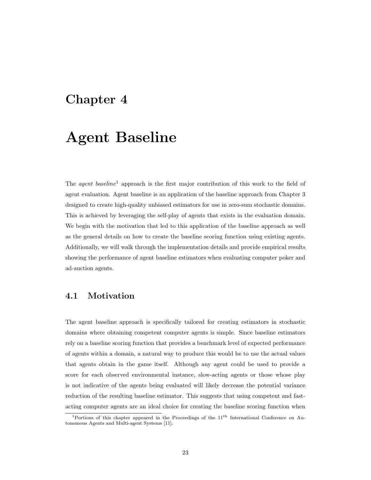## Chapter 4

## Agent Baseline

The *agent baseline*<sup>1</sup> approach is the first major contribution of this work to the field of agent evaluation. Agent baseline is an application of the baseline approach from Chapter 3 designed to create high-quality unbiased estimators for use in zero-sum stochastic domains. This is achieved by leveraging the self-play of agents that exists in the evaluation domain. We begin with the motivation that led to this application of the baseline approach as well as the general details on how to create the baseline scoring function using existing agents. Additionally, we will walk through the implementation details and provide empirical results showing the performance of agent baseline estimators when evaluating computer poker and ad-auction agents.

## 4.1 Motivation

The agent baseline approach is specifically tailored for creating estimators in stochastic domains where obtaining competent computer agents is simple. Since baseline estimators rely on a baseline scoring function that provides a benchmark level of expected performance of agents within a domain, a natural way to produce this would be to use the actual values that agents obtain in the game itself. Although any agent could be used to provide a score for each observed environmental instance, slow-acting agents or those whose play is not indicative of the agents being evaluated will likely decrease the potential variance reduction of the resulting baseline estimator. This suggests that using competent and fastacting computer agents are an ideal choice for creating the baseline scoring function when

<sup>1</sup>Portions of this chapter appeared in the Proceedings of the 11th International Conference on Autonomous Agents and Multi-agent Systems [11].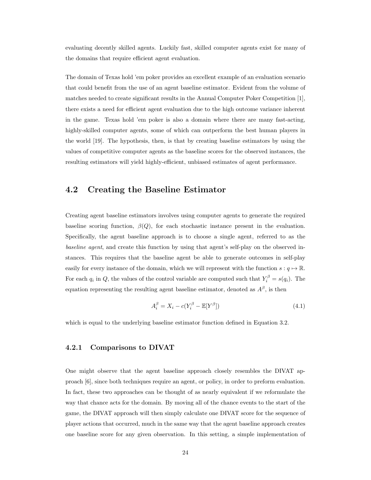evaluating decently skilled agents. Luckily fast, skilled computer agents exist for many of the domains that require efficient agent evaluation.

The domain of Texas hold 'em poker provides an excellent example of an evaluation scenario that could benefit from the use of an agent baseline estimator. Evident from the volume of matches needed to create significant results in the Annual Computer Poker Competition [1], there exists a need for efficient agent evaluation due to the high outcome variance inherent in the game. Texas hold 'em poker is also a domain where there are many fast-acting, highly-skilled computer agents, some of which can outperform the best human players in the world [19]. The hypothesis, then, is that by creating baseline estimators by using the values of competitive computer agents as the baseline scores for the observed instances, the resulting estimators will yield highly-efficient, unbiased estimates of agent performance.

### 4.2 Creating the Baseline Estimator

Creating agent baseline estimators involves using computer agents to generate the required baseline scoring function,  $\beta(Q)$ , for each stochastic instance present in the evaluation. Specifically, the agent baseline approach is to choose a single agent, referred to as the baseline agent, and create this function by using that agent's self-play on the observed instances. This requires that the baseline agent be able to generate outcomes in self-play easily for every instance of the domain, which we will represent with the function  $s: q \mapsto \mathbb{R}$ . For each  $q_i$  in Q, the values of the control variable are computed such that  $Y_i^{\beta} = s(q_i)$ . The equation representing the resulting agent baseline estimator, denoted as  $A^{\beta}$ , is then

$$
A_i^{\beta} = X_i - c(Y_i^{\beta} - \mathbb{E}[Y^{\beta}])
$$
\n(4.1)

which is equal to the underlying baseline estimator function defined in Equation 3.2.

#### 4.2.1 Comparisons to DIVAT

One might observe that the agent baseline approach closely resembles the DIVAT approach [6], since both techniques require an agent, or policy, in order to preform evaluation. In fact, these two approaches can be thought of as nearly equivalent if we reformulate the way that chance acts for the domain. By moving all of the chance events to the start of the game, the DIVAT approach will then simply calculate one DIVAT score for the sequence of player actions that occurred, much in the same way that the agent baseline approach creates one baseline score for any given observation. In this setting, a simple implementation of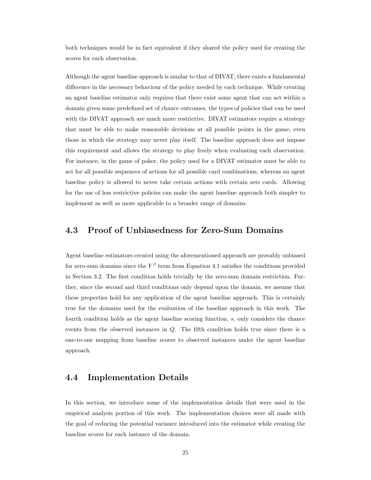both techniques would be in fact equivalent if they shared the policy used for creating the scores for each observation.

Although the agent baseline approach is similar to that of DIVAT, there exists a fundamental difference in the necessary behaviour of the policy needed by each technique. While creating an agent baseline estimator only requires that there exist some agent that can act within a domain given some predefined set of chance outcomes, the types of policies that can be used with the DIVAT approach are much more restrictive. DIVAT estimators require a strategy that must be able to make reasonable decisions at all possible points in the game, even those in which the strategy may never play itself. The baseline approach does not impose this requirement and allows the strategy to play freely when evaluating each observation. For instance, in the game of poker, the policy used for a DIVAT estimator must be able to act for all possible sequences of actions for all possible card combinations, whereas an agent baseline policy is allowed to never take certain actions with certain sets cards. Allowing for the use of less restrictive policies can make the agent baseline approach both simpler to implement as well as more applicable to a broader range of domains.

## 4.3 Proof of Unbiasedness for Zero-Sum Domains

Agent baseline estimators created using the aforementioned approach are provably unbiased for zero-sum domains since the  $Y^{\beta}$  term from Equation 4.1 satisfies the conditions provided in Section 3.2. The first condition holds trivially by the zero-sum domain restriction. Further, since the second and third conditions only depend upon the domain, we assume that these properties hold for any application of the agent baseline approach. This is certainly true for the domains used for the evaluation of the baseline approach in this work. The fourth condition holds as the agent baseline scoring function, s, only considers the chance events from the observed instances in Q. The fifth condition holds true since there is a one-to-one mapping from baseline scores to observed instances under the agent baseline approach.

### 4.4 Implementation Details

In this section, we introduce some of the implementation details that were used in the empirical analysis portion of this work. The implementation choices were all made with the goal of reducing the potential variance introduced into the estimator while creating the baseline scores for each instance of the domain.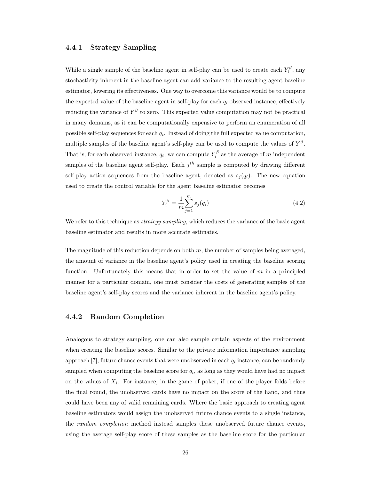#### 4.4.1 Strategy Sampling

While a single sample of the baseline agent in self-play can be used to create each  $Y_i^{\beta}$ , any stochasticity inherent in the baseline agent can add variance to the resulting agent baseline estimator, lowering its effectiveness. One way to overcome this variance would be to compute the expected value of the baseline agent in self-play for each  $q_i$  observed instance, effectively reducing the variance of  $Y^{\beta}$  to zero. This expected value computation may not be practical in many domains, as it can be computationally expensive to perform an enumeration of all possible self-play sequences for each  $q_i$ . Instead of doing the full expected value computation, multiple samples of the baseline agent's self-play can be used to compute the values of  $Y^{\beta}$ . That is, for each observed instance,  $q_i$ , we can compute  $Y_i^{\beta}$  as the average of m independent samples of the baseline agent self-play. Each  $j<sup>th</sup>$  sample is computed by drawing different self-play action sequences from the baseline agent, denoted as  $s_i(q_i)$ . The new equation used to create the control variable for the agent baseline estimator becomes

$$
Y_i^{\beta} = \frac{1}{m} \sum_{j=1}^{m} s_j(q_i)
$$
 (4.2)

We refer to this technique as *strategy sampling*, which reduces the variance of the basic agent baseline estimator and results in more accurate estimates.

The magnitude of this reduction depends on both  $m$ , the number of samples being averaged, the amount of variance in the baseline agent's policy used in creating the baseline scoring function. Unfortunately this means that in order to set the value of  $m$  in a principled manner for a particular domain, one must consider the costs of generating samples of the baseline agent's self-play scores and the variance inherent in the baseline agent's policy.

#### 4.4.2 Random Completion

Analogous to strategy sampling, one can also sample certain aspects of the environment when creating the baseline scores. Similar to the private information importance sampling approach  $[7]$ , future chance events that were unobserved in each  $q_i$  instance, can be randomly sampled when computing the baseline score for  $q_i$ , as long as they would have had no impact on the values of  $X_i$ . For instance, in the game of poker, if one of the player folds before the final round, the unobserved cards have no impact on the score of the hand, and thus could have been any of valid remaining cards. Where the basic approach to creating agent baseline estimators would assign the unobserved future chance events to a single instance, the *random completion* method instead samples these unobserved future chance events, using the average self-play score of these samples as the baseline score for the particular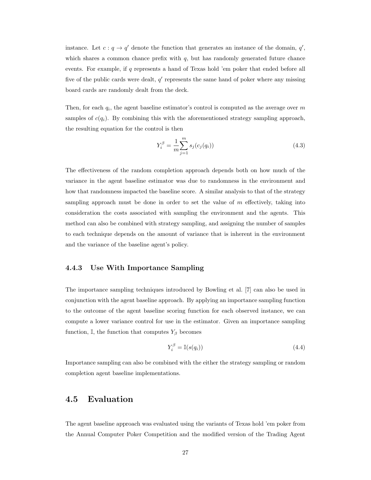instance. Let  $c: q \to q'$  denote the function that generates an instance of the domain,  $q'$ , which shares a common chance prefix with  $q$ , but has randomly generated future chance events. For example, if q represents a hand of Texas hold 'em poker that ended before all five of the public cards were dealt,  $q'$  represents the same hand of poker where any missing board cards are randomly dealt from the deck.

Then, for each  $q_i$ , the agent baseline estimator's control is computed as the average over m samples of  $c(q_i)$ . By combining this with the aforementioned strategy sampling approach, the resulting equation for the control is then

$$
Y_i^{\beta} = \frac{1}{m} \sum_{j=1}^m s_j(c_j(q_i))
$$
\n(4.3)

The effectiveness of the random completion approach depends both on how much of the variance in the agent baseline estimator was due to randomness in the environment and how that randomness impacted the baseline score. A similar analysis to that of the strategy sampling approach must be done in order to set the value of  $m$  effectively, taking into consideration the costs associated with sampling the environment and the agents. This method can also be combined with strategy sampling, and assigning the number of samples to each technique depends on the amount of variance that is inherent in the environment and the variance of the baseline agent's policy.

#### 4.4.3 Use With Importance Sampling

The importance sampling techniques introduced by Bowling et al. [7] can also be used in conjunction with the agent baseline approach. By applying an importance sampling function to the outcome of the agent baseline scoring function for each observed instance, we can compute a lower variance control for use in the estimator. Given an importance sampling function, I, the function that computes  $Y_\beta$  becomes

$$
Y_i^{\beta} = \mathbb{I}(s(q_i))
$$
\n<sup>(4.4)</sup>

Importance sampling can also be combined with the either the strategy sampling or random completion agent baseline implementations.

### 4.5 Evaluation

The agent baseline approach was evaluated using the variants of Texas hold 'em poker from the Annual Computer Poker Competition and the modified version of the Trading Agent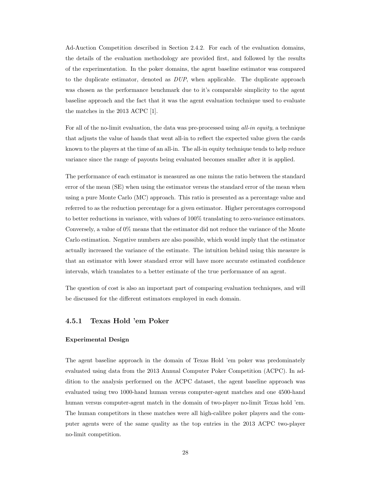Ad-Auction Competition described in Section 2.4.2. For each of the evaluation domains, the details of the evaluation methodology are provided first, and followed by the results of the experimentation. In the poker domains, the agent baseline estimator was compared to the duplicate estimator, denoted as  $DUP$ , when applicable. The duplicate approach was chosen as the performance benchmark due to it's comparable simplicity to the agent baseline approach and the fact that it was the agent evaluation technique used to evaluate the matches in the 2013 ACPC [1].

For all of the no-limit evaluation, the data was pre-processed using all-in equity, a technique that adjusts the value of hands that went all-in to reflect the expected value given the cards known to the players at the time of an all-in. The all-in equity technique tends to help reduce variance since the range of payouts being evaluated becomes smaller after it is applied.

The performance of each estimator is measured as one minus the ratio between the standard error of the mean (SE) when using the estimator versus the standard error of the mean when using a pure Monte Carlo (MC) approach. This ratio is presented as a percentage value and referred to as the reduction percentage for a given estimator. Higher percentages correspond to better reductions in variance, with values of 100% translating to zero-variance estimators. Conversely, a value of 0% means that the estimator did not reduce the variance of the Monte Carlo estimation. Negative numbers are also possible, which would imply that the estimator actually increased the variance of the estimate. The intuition behind using this measure is that an estimator with lower standard error will have more accurate estimated confidence intervals, which translates to a better estimate of the true performance of an agent.

The question of cost is also an important part of comparing evaluation techniques, and will be discussed for the different estimators employed in each domain.

#### 4.5.1 Texas Hold 'em Poker

#### Experimental Design

The agent baseline approach in the domain of Texas Hold 'em poker was predominately evaluated using data from the 2013 Annual Computer Poker Competition (ACPC). In addition to the analysis performed on the ACPC dataset, the agent baseline approach was evaluated using two 1000-hand human versus computer-agent matches and one 4500-hand human versus computer-agent match in the domain of two-player no-limit Texas hold 'em. The human competitors in these matches were all high-calibre poker players and the computer agents were of the same quality as the top entries in the 2013 ACPC two-player no-limit competition.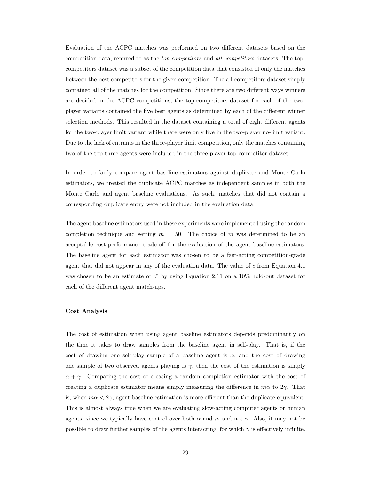Evaluation of the ACPC matches was performed on two different datasets based on the competition data, referred to as the top-competitors and all-competitors datasets. The topcompetitors dataset was a subset of the competition data that consisted of only the matches between the best competitors for the given competition. The all-competitors dataset simply contained all of the matches for the competition. Since there are two different ways winners are decided in the ACPC competitions, the top-competitors dataset for each of the twoplayer variants contained the five best agents as determined by each of the different winner selection methods. This resulted in the dataset containing a total of eight different agents for the two-player limit variant while there were only five in the two-player no-limit variant. Due to the lack of entrants in the three-player limit competition, only the matches containing two of the top three agents were included in the three-player top competitor dataset.

In order to fairly compare agent baseline estimators against duplicate and Monte Carlo estimators, we treated the duplicate ACPC matches as independent samples in both the Monte Carlo and agent baseline evaluations. As such, matches that did not contain a corresponding duplicate entry were not included in the evaluation data.

The agent baseline estimators used in these experiments were implemented using the random completion technique and setting  $m = 50$ . The choice of m was determined to be an acceptable cost-performance trade-off for the evaluation of the agent baseline estimators. The baseline agent for each estimator was chosen to be a fast-acting competition-grade agent that did not appear in any of the evaluation data. The value of c from Equation 4.1 was chosen to be an estimate of  $c^*$  by using Equation 2.11 on a 10% hold-out dataset for each of the different agent match-ups.

#### Cost Analysis

The cost of estimation when using agent baseline estimators depends predominantly on the time it takes to draw samples from the baseline agent in self-play. That is, if the cost of drawing one self-play sample of a baseline agent is  $\alpha$ , and the cost of drawing one sample of two observed agents playing is  $\gamma$ , then the cost of the estimation is simply  $\alpha + \gamma$ . Comparing the cost of creating a random completion estimator with the cost of creating a duplicate estimator means simply measuring the difference in  $m\alpha$  to  $2\gamma$ . That is, when  $m\alpha < 2\gamma$ , agent baseline estimation is more efficient than the duplicate equivalent. This is almost always true when we are evaluating slow-acting computer agents or human agents, since we typically have control over both  $\alpha$  and  $m$  and not  $\gamma$ . Also, it may not be possible to draw further samples of the agents interacting, for which  $\gamma$  is effectively infinite.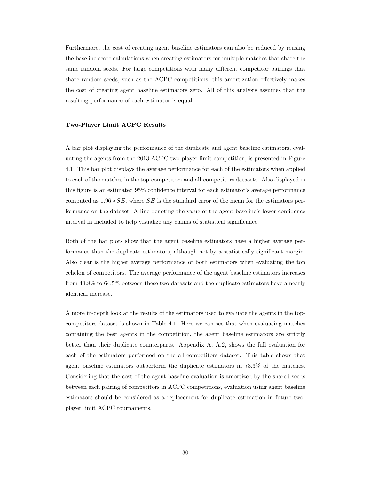Furthermore, the cost of creating agent baseline estimators can also be reduced by reusing the baseline score calculations when creating estimators for multiple matches that share the same random seeds. For large competitions with many different competitor pairings that share random seeds, such as the ACPC competitions, this amortization effectively makes the cost of creating agent baseline estimators zero. All of this analysis assumes that the resulting performance of each estimator is equal.

#### Two-Player Limit ACPC Results

A bar plot displaying the performance of the duplicate and agent baseline estimators, evaluating the agents from the 2013 ACPC two-player limit competition, is presented in Figure 4.1. This bar plot displays the average performance for each of the estimators when applied to each of the matches in the top-competitors and all-competitors datasets. Also displayed in this figure is an estimated 95% confidence interval for each estimator's average performance computed as  $1.96 * SE$ , where SE is the standard error of the mean for the estimators performance on the dataset. A line denoting the value of the agent baseline's lower confidence interval in included to help visualize any claims of statistical significance.

Both of the bar plots show that the agent baseline estimators have a higher average performance than the duplicate estimators, although not by a statistically significant margin. Also clear is the higher average performance of both estimators when evaluating the top echelon of competitors. The average performance of the agent baseline estimators increases from 49.8% to 64.5% between these two datasets and the duplicate estimators have a nearly identical increase.

A more in-depth look at the results of the estimators used to evaluate the agents in the topcompetitors dataset is shown in Table 4.1. Here we can see that when evaluating matches containing the best agents in the competition, the agent baseline estimators are strictly better than their duplicate counterparts. Appendix A, A.2, shows the full evaluation for each of the estimators performed on the all-competitors dataset. This table shows that agent baseline estimators outperform the duplicate estimators in 73.3% of the matches. Considering that the cost of the agent baseline evaluation is amortized by the shared seeds between each pairing of competitors in ACPC competitions, evaluation using agent baseline estimators should be considered as a replacement for duplicate estimation in future twoplayer limit ACPC tournaments.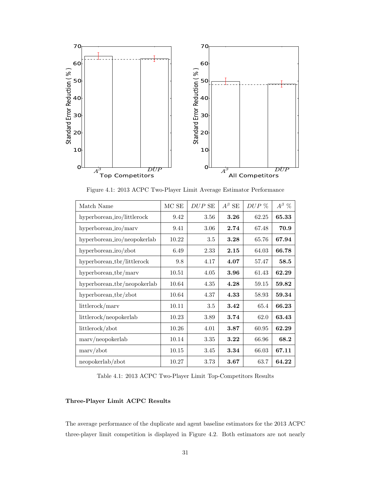

Figure 4.1: 2013 ACPC Two-Player Limit Average Estimator Performance

| Match Name                  | MCSE  | DUP SE | $A^\beta$ SE | $DUP\ \%$ | $A^{\beta}$ % |
|-----------------------------|-------|--------|--------------|-----------|---------------|
| hyperborean_iro/littlerock  | 9.42  | 3.56   | 3.26         | 62.25     | 65.33         |
| hyperborean_iro/marv        | 9.41  | 3.06   | 2.74         | 67.48     | 70.9          |
| hyperborean_iro/neopokerlab | 10.22 | 3.5    | 3.28         | 65.76     | 67.94         |
| hyperborean_iro/zbot        | 6.49  | 2.33   | 2.15         | 64.03     | 66.78         |
| hyperborean_tbr/littlerock  | 9.8   | 4.17   | 4.07         | 57.47     | 58.5          |
| hyperborean_tbr/marv        | 10.51 | 4.05   | 3.96         | 61.43     | 62.29         |
| hyperborean_tbr/neopokerlab | 10.64 | 4.35   | 4.28         | 59.15     | 59.82         |
| hyperborean_tbr/zbot        | 10.64 | 4.37   | 4.33         | 58.93     | 59.34         |
| littlerock/marv             | 10.11 | 3.5    | 3.42         | 65.4      | 66.23         |
| littlerock/neopokerlab      | 10.23 | 3.89   | 3.74         | 62.0      | 63.43         |
| littlerock/zbot             | 10.26 | 4.01   | 3.87         | 60.95     | 62.29         |
| $\text{marv/neopokerlab}$   | 10.14 | 3.35   | 3.22         | 66.96     | 68.2          |
| $\text{marv}/\text{zbot}$   | 10.15 | 3.45   | 3.34         | 66.03     | 67.11         |
| neopokerlab/zbot            | 10.27 | 3.73   | 3.67         | 63.7      | 64.22         |

Table 4.1: 2013 ACPC Two-Player Limit Top-Competitors Results

#### Three-Player Limit ACPC Results

The average performance of the duplicate and agent baseline estimators for the 2013 ACPC three-player limit competition is displayed in Figure 4.2. Both estimators are not nearly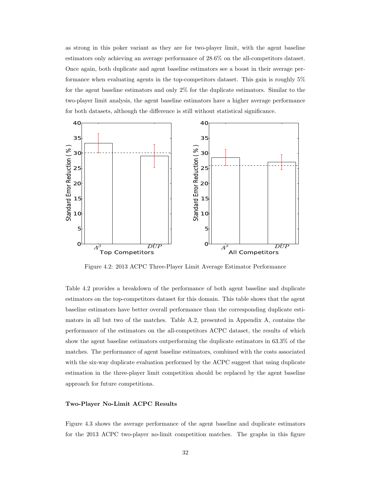as strong in this poker variant as they are for two-player limit, with the agent baseline estimators only achieving an average performance of 28.6% on the all-competitors dataset. Once again, both duplicate and agent baseline estimators see a boost in their average performance when evaluating agents in the top-competitors dataset. This gain is roughly 5% for the agent baseline estimators and only 2% for the duplicate estimators. Similar to the two-player limit analysis, the agent baseline estimators have a higher average performance for both datasets, although the difference is still without statistical significance.



Figure 4.2: 2013 ACPC Three-Player Limit Average Estimator Performance

Table 4.2 provides a breakdown of the performance of both agent baseline and duplicate estimators on the top-competitors dataset for this domain. This table shows that the agent baseline estimators have better overall performance than the corresponding duplicate estimators in all but two of the matches. Table A.2, presented in Appendix A, contains the performance of the estimators on the all-competitors ACPC dataset, the results of which show the agent baseline estimators outperforming the duplicate estimators in 63.3% of the matches. The performance of agent baseline estimators, combined with the costs associated with the six-way duplicate evaluation performed by the ACPC suggest that using duplicate estimation in the three-player limit competition should be replaced by the agent baseline approach for future competitions.

#### Two-Player No-Limit ACPC Results

Figure 4.3 shows the average performance of the agent baseline and duplicate estimators for the 2013 ACPC two-player no-limit competition matches. The graphs in this figure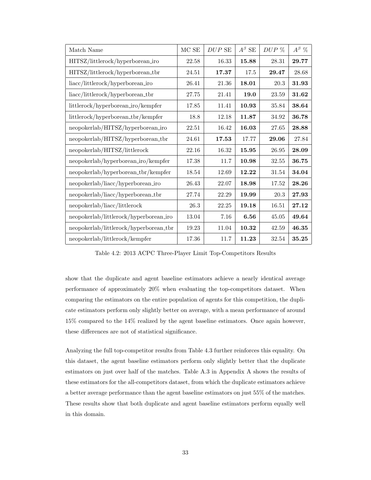| Match Name                             | $MCSE$ | $DUP$ SE | $A^{\beta}$ SE | $DUP\ \%$ | $A^{\beta}$ % |
|----------------------------------------|--------|----------|----------------|-----------|---------------|
| HITSZ/littlerock/hyperborean_iro       | 22.58  | 16.33    | 15.88          | 28.31     | 29.77         |
| HITSZ/littlerock/hyperborean_tbr       | 24.51  | 17.37    | 17.5           | 29.47     | 28.68         |
| liacc/littlerock/hyperborean_iro       | 26.41  | 21.36    | 18.01          | 20.3      | 31.93         |
| liacc/littlerock/hyperborean_tbr       | 27.75  | 21.41    | 19.0           | $23.59\,$ | 31.62         |
| littlerock/hyperborean_iro/kempfer     | 17.85  | 11.41    | 10.93          | 35.84     | 38.64         |
| littlerock/hyperborean_tbr/kempfer     | 18.8   | 12.18    | 11.87          | 34.92     | 36.78         |
| neopokerlab/HITSZ/hyperborean_iro      | 22.51  | 16.42    | 16.03          | 27.65     | 28.88         |
| neopokerlab/HITSZ/hyperborean_tbr      | 24.61  | 17.53    | 17.77          | 29.06     | 27.84         |
| neopokerlab/HITSZ/littlerock           | 22.16  | 16.32    | 15.95          | $26.95\,$ | 28.09         |
| neopokerlab/hyperborean_iro/kempfer    | 17.38  | 11.7     | 10.98          | 32.55     | 36.75         |
| neopokerlab/hyperborean_tbr/kempfer    | 18.54  | 12.69    | 12.22          | 31.54     | 34.04         |
| neopokerlab/liacc/hyperborean_iro      | 26.43  | 22.07    | 18.98          | 17.52     | 28.26         |
| neopokerlab/liacc/hyperborean_tbr      | 27.74  | 22.29    | 19.99          | $20.3\,$  | 27.93         |
| neopokerlab/liacc/littlerock           | 26.3   | 22.25    | 19.18          | 16.51     | 27.12         |
| neopokerlab/littlerock/hyperborean_iro | 13.04  | 7.16     | 6.56           | 45.05     | 49.64         |
| neopokerlab/littlerock/hyperborean_tbr | 19.23  | 11.04    | 10.32          | 42.59     | 46.35         |
| neopokerlab/littlerock/kempfer         | 17.36  | 11.7     | 11.23          | 32.54     | 35.25         |

Table 4.2: 2013 ACPC Three-Player Limit Top-Competitors Results

show that the duplicate and agent baseline estimators achieve a nearly identical average performance of approximately 20% when evaluating the top-competitors dataset. When comparing the estimators on the entire population of agents for this competition, the duplicate estimators perform only slightly better on average, with a mean performance of around 15% compared to the 14% realized by the agent baseline estimators. Once again however, these differences are not of statistical significance.

Analyzing the full top-competitor results from Table 4.3 further reinforces this equality. On this dataset, the agent baseline estimators perform only slightly better that the duplicate estimators on just over half of the matches. Table A.3 in Appendix A shows the results of these estimators for the all-competitors dataset, from which the duplicate estimators achieve a better average performance than the agent baseline estimators on just 55% of the matches. These results show that both duplicate and agent baseline estimators perform equally well in this domain.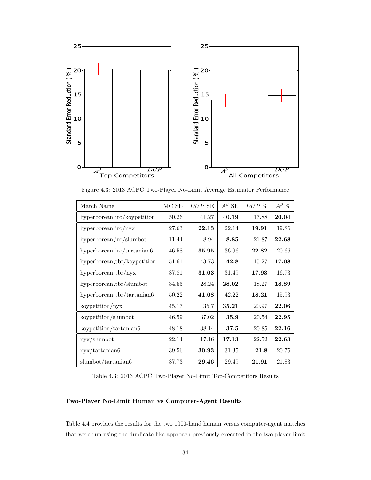

Figure 4.3: 2013 ACPC Two-Player No-Limit Average Estimator Performance

| Match Name                  | MCSE  | $DUP$ SE | $A^{\beta}$ SE | $DUP\ \%$ | $A^{\beta}$ % |
|-----------------------------|-------|----------|----------------|-----------|---------------|
| hyperborean_iro/koypetition | 50.26 | 41.27    | 40.19          | 17.88     | 20.04         |
| hyperborean_iro/nyx         | 27.63 | 22.13    | 22.14          | 19.91     | 19.86         |
| hyperborean_iro/slumbot     | 11.44 | 8.94     | 8.85           | 21.87     | 22.68         |
| hyperborean_iro/tartanian6  | 46.58 | 35.95    | 36.96          | 22.82     | 20.66         |
| hyperborean_tbr/koypetition | 51.61 | 43.73    | 42.8           | 15.27     | 17.08         |
| $hyperborean_tbr/nyx$       | 37.81 | 31.03    | 31.49          | 17.93     | 16.73         |
| hyperborean_tbr/slumbot     | 34.55 | 28.24    | 28.02          | 18.27     | 18.89         |
| hyperborean_tbr/tartanian6  | 50.22 | 41.08    | 42.22          | 18.21     | 15.93         |
| koypetition/nyx             | 45.17 | 35.7     | 35.21          | 20.97     | 22.06         |
| koypetition/slumbot         | 46.59 | 37.02    | 35.9           | 20.54     | 22.95         |
| koypetition/tartanian6      | 48.18 | 38.14    | 37.5           | 20.85     | 22.16         |
| nyx/slumbot                 | 22.14 | 17.16    | 17.13          | 22.52     | 22.63         |
| nyx/tartanian 6             | 39.56 | 30.93    | 31.35          | 21.8      | 20.75         |
| slumbot/tartanian6          | 37.73 | 29.46    | 29.49          | 21.91     | 21.83         |

Table 4.3: 2013 ACPC Two-Player No-Limit Top-Competitors Results

#### Two-Player No-Limit Human vs Computer-Agent Results

Table 4.4 provides the results for the two 1000-hand human versus computer-agent matches that were run using the duplicate-like approach previously executed in the two-player limit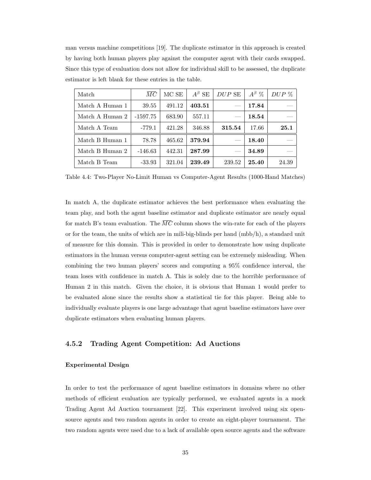man versus machine competitions [19]. The duplicate estimator in this approach is created by having both human players play against the computer agent with their cards swapped. Since this type of evaluation does not allow for individual skill to be assessed, the duplicate estimator is left blank for these entries in the table.

| Match           | MC         | MC SE  | $A^{\beta}$ SE | DUP SE | $A^{\beta}$ % | $DUP\ \%$ |
|-----------------|------------|--------|----------------|--------|---------------|-----------|
| Match A Human 1 | 39.55      | 491.12 | 403.51         |        | 17.84         |           |
| Match A Human 2 | $-1597.75$ | 683.90 | 557.11         |        | 18.54         |           |
| Match A Team    | $-779.1$   | 421.28 | 346.88         | 315.54 | 17.66         | 25.1      |
| Match B Human 1 | 78.78      | 465.62 | 379.94         |        | 18.40         |           |
| Match B Human 2 | $-146.63$  | 442.31 | 287.99         |        | 34.89         |           |
| Match B Team    | $-33.93$   | 321.04 | 239.49         | 239.52 | 25.40         | 24.39     |

Table 4.4: Two-Player No-Limit Human vs Computer-Agent Results (1000-Hand Matches)

In match A, the duplicate estimator achieves the best performance when evaluating the team play, and both the agent baseline estimator and duplicate estimator are nearly equal for match B's team evaluation. The  $\overline{MC}$  column shows the win-rate for each of the players or for the team, the units of which are in mili-big-blinds per hand (mbb/h), a standard unit of measure for this domain. This is provided in order to demonstrate how using duplicate estimators in the human versus computer-agent setting can be extremely misleading. When combining the two human players' scores and computing a 95% confidence interval, the team loses with confidence in match A. This is solely due to the horrible performance of Human 2 in this match. Given the choice, it is obvious that Human 1 would prefer to be evaluated alone since the results show a statistical tie for this player. Being able to individually evaluate players is one large advantage that agent baseline estimators have over duplicate estimators when evaluating human players.

### 4.5.2 Trading Agent Competition: Ad Auctions

#### Experimental Design

In order to test the performance of agent baseline estimators in domains where no other methods of efficient evaluation are typically performed, we evaluated agents in a mock Trading Agent Ad Auction tournament [22]. This experiment involved using six opensource agents and two random agents in order to create an eight-player tournament. The two random agents were used due to a lack of available open source agents and the software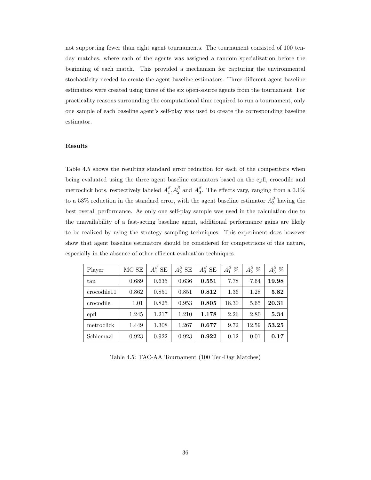not supporting fewer than eight agent tournaments. The tournament consisted of 100 tenday matches, where each of the agents was assigned a random specialization before the beginning of each match. This provided a mechanism for capturing the environmental stochasticity needed to create the agent baseline estimators. Three different agent baseline estimators were created using three of the six open-source agents from the tournament. For practicality reasons surrounding the computational time required to run a tournament, only one sample of each baseline agent's self-play was used to create the corresponding baseline estimator.

#### Results

Table 4.5 shows the resulting standard error reduction for each of the competitors when being evaluated using the three agent baseline estimators based on the epfl, crocodile and metroclick bots, respectively labeled  $A_1^{\beta}$ ,  $A_2^{\beta}$  and  $A_3^{\beta}$ . The effects vary, ranging from a 0.1% to a 53% reduction in the standard error, with the agent baseline estimator  $A_3^{\beta}$  having the best overall performance. As only one self-play sample was used in the calculation due to the unavailability of a fast-acting baseline agent, additional performance gains are likely to be realized by using the strategy sampling techniques. This experiment does however show that agent baseline estimators should be considered for competitions of this nature, especially in the absence of other efficient evaluation techniques.

| Player      | MC SE | $A_1^{\beta}$ SE | $A_2^{\beta}$ SE | $A_3^{\beta}$ SE | $A_1^{\beta}$ % | $A_2^{\beta}$ % | $A_3^{\beta}$ % |
|-------------|-------|------------------|------------------|------------------|-----------------|-----------------|-----------------|
| tau         | 0.689 | 0.635            | 0.636            | 0.551            | 7.78            | 7.64            | 19.98           |
| crocodile11 | 0.862 | 0.851            | 0.851            | 0.812            | 1.36            | 1.28            | 5.82            |
| crocodile   | 1.01  | 0.825            | 0.953            | 0.805            | 18.30           | 5.65            | $20.31\,$       |
| epf1        | 1.245 | 1.217            | 1.210            | 1.178            | 2.26            | 2.80            | 5.34            |
| metroclick  | 1.449 | 1.308            | 1.267            | 0.677            | 9.72            | 12.59           | 53.25           |
| Schlemazl   | 0.923 | 0.922            | 0.923            | 0.922            | 0.12            | 0.01            | 0.17            |

Table 4.5: TAC-AA Tournament (100 Ten-Day Matches)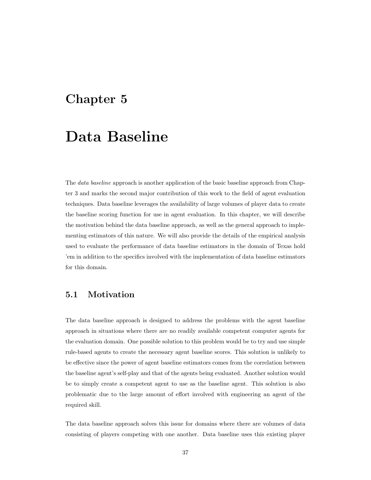## Chapter 5

## Data Baseline

The data baseline approach is another application of the basic baseline approach from Chapter 3 and marks the second major contribution of this work to the field of agent evaluation techniques. Data baseline leverages the availability of large volumes of player data to create the baseline scoring function for use in agent evaluation. In this chapter, we will describe the motivation behind the data baseline approach, as well as the general approach to implementing estimators of this nature. We will also provide the details of the empirical analysis used to evaluate the performance of data baseline estimators in the domain of Texas hold 'em in addition to the specifics involved with the implementation of data baseline estimators for this domain.

## 5.1 Motivation

The data baseline approach is designed to address the problems with the agent baseline approach in situations where there are no readily available competent computer agents for the evaluation domain. One possible solution to this problem would be to try and use simple rule-based agents to create the necessary agent baseline scores. This solution is unlikely to be effective since the power of agent baseline estimators comes from the correlation between the baseline agent's self-play and that of the agents being evaluated. Another solution would be to simply create a competent agent to use as the baseline agent. This solution is also problematic due to the large amount of effort involved with engineering an agent of the required skill.

The data baseline approach solves this issue for domains where there are volumes of data consisting of players competing with one another. Data baseline uses this existing player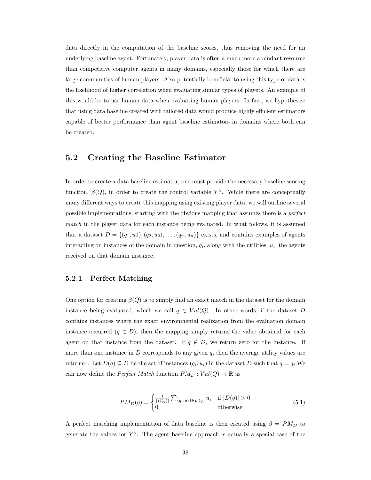data directly in the computation of the baseline scores, thus removing the need for an underlying baseline agent. Fortunately, player data is often a much more abundant resource than competitive computer agents in many domains, especially those for which there are large communities of human players. Also potentially beneficial to using this type of data is the likelihood of higher correlation when evaluating similar types of players. An example of this would be to use human data when evaluating human players. In fact, we hypothesize that using data baseline created with tailored data would produce highly efficient estimators capable of better performance than agent baseline estimators in domains where both can be created.

### 5.2 Creating the Baseline Estimator

In order to create a data baseline estimator, one must provide the necessary baseline scoring function,  $\beta(Q)$ , in order to create the control variable  $Y^{\beta}$ . While there are conceptually many different ways to create this mapping using existing player data, we will outline several possible implementations, starting with the obvious mapping that assumes there is a perfect match in the player data for each instance being evaluated. In what follows, it is assumed that a dataset  $D = \{(q_1, u_1), (q_2, u_2), \ldots, (q_n, u_n)\}\)$  exists, and contains examples of agents interacting on instances of the domain in question,  $q_i$ , along with the utilities,  $u_i$ , the agents received on that domain instance.

#### 5.2.1 Perfect Matching

One option for creating  $\beta(Q)$  is to simply find an exact match in the dataset for the domain instance being evaluated, which we call  $q \in Val(Q)$ . In other words, if the dataset D contains instances where the exact environmental realization from the evaluation domain instance occurred  $(q \in D)$ , then the mapping simply returns the value obtained for each agent on that instance from the dataset. If  $q \notin D$ , we return zero for the instance. If more than one instance in  $D$  corresponds to any given  $q$ , then the average utility values are returned. Let  $D(q) \subseteq D$  be the set of instances  $(q_i, u_i)$  in the dataset D such that  $q = q_i$ . We can now define the *Perfect Match* function  $PM_D : Val(Q) \to \mathbb{R}$  as

$$
PM_D(q) = \begin{cases} \frac{1}{|D(q)|} \sum_{(q_i, u_i) \in D(q)} u_i & \text{if } |D(q)| > 0\\ 0 & \text{otherwise} \end{cases}
$$
(5.1)

A perfect matching implementation of data baseline is then created using  $\beta = PM_D$  to generate the values for  $Y^{\beta}$ . The agent baseline approach is actually a special case of the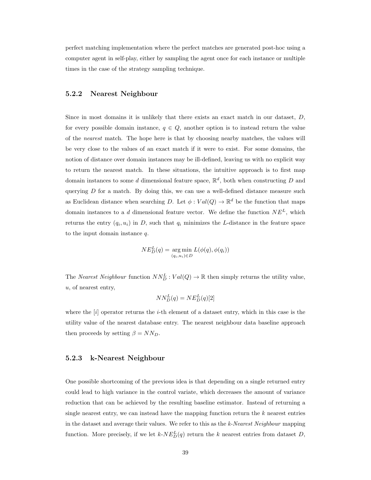perfect matching implementation where the perfect matches are generated post-hoc using a computer agent in self-play, either by sampling the agent once for each instance or multiple times in the case of the strategy sampling technique.

#### 5.2.2 Nearest Neighbour

Since in most domains it is unlikely that there exists an exact match in our dataset,  $D$ , for every possible domain instance,  $q \in Q$ , another option is to instead return the value of the *nearest* match. The hope here is that by choosing nearby matches, the values will be very close to the values of an exact match if it were to exist. For some domains, the notion of distance over domain instances may be ill-defined, leaving us with no explicit way to return the nearest match. In these situations, the intuitive approach is to first map domain instances to some d dimensional feature space,  $\mathbb{R}^d$ , both when constructing D and querying  $D$  for a match. By doing this, we can use a well-defined distance measure such as Euclidean distance when searching D. Let  $\phi: Val(Q) \to \mathbb{R}^d$  be the function that maps domain instances to a d dimensional feature vector. We define the function  $NE<sup>L</sup>$ , which returns the entry  $(q_i, u_i)$  in D, such that  $q_i$  minimizes the L-distance in the feature space to the input domain instance q.

$$
NE_D^L(q) = \underset{(q_i, u_i) \in D}{\arg \min} L(\phi(q), \phi(q_i))
$$

The *Nearest Neighbour* function  $NN_D^L:Val(Q) \to \mathbb{R}$  then simply returns the utility value, u, of nearest entry,

$$
NN_D^L(q) = NE_D^L(q)[2]
$$

where the  $[i]$  operator returns the *i*-th element of a dataset entry, which in this case is the utility value of the nearest database entry. The nearest neighbour data baseline approach then proceeds by setting  $\beta = NN_D$ .

#### 5.2.3 k-Nearest Neighbour

One possible shortcoming of the previous idea is that depending on a single returned entry could lead to high variance in the control variate, which decreases the amount of variance reduction that can be achieved by the resulting baseline estimator. Instead of returning a single nearest entry, we can instead have the mapping function return the  $k$  nearest entries in the dataset and average their values. We refer to this as the  $k$ -Nearest Neighbour mapping function. More precisely, if we let  $k$ - $NE_D^L(q)$  return the k nearest entries from dataset D,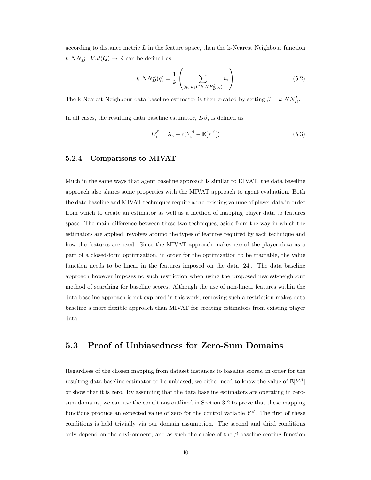according to distance metric  $L$  in the feature space, then the k-Nearest Neighbour function  $k\text{-}NN_D^L:Val(Q) \rightarrow \mathbb{R}$  can be defined as

$$
k\text{-}NN_D^L(q) = \frac{1}{k} \left( \sum_{(q_i, u_i) \in k\text{-}NE_D^L(q)} u_i \right) \tag{5.2}
$$

The k-Nearest Neighbour data baseline estimator is then created by setting  $\beta = k \cdot NN_D^L$ .

In all cases, the resulting data baseline estimator,  $D\beta$ , is defined as

$$
D_i^{\beta} = X_i - c(Y_i^{\beta} - \mathbb{E}[Y^{\beta}])
$$
\n(5.3)

#### 5.2.4 Comparisons to MIVAT

Much in the same ways that agent baseline approach is similar to DIVAT, the data baseline approach also shares some properties with the MIVAT approach to agent evaluation. Both the data baseline and MIVAT techniques require a pre-existing volume of player data in order from which to create an estimator as well as a method of mapping player data to features space. The main difference between these two techniques, aside from the way in which the estimators are applied, revolves around the types of features required by each technique and how the features are used. Since the MIVAT approach makes use of the player data as a part of a closed-form optimization, in order for the optimization to be tractable, the value function needs to be linear in the features imposed on the data [24]. The data baseline approach however imposes no such restriction when using the proposed nearest-neighbour method of searching for baseline scores. Although the use of non-linear features within the data baseline approach is not explored in this work, removing such a restriction makes data baseline a more flexible approach than MIVAT for creating estimators from existing player data.

### 5.3 Proof of Unbiasedness for Zero-Sum Domains

Regardless of the chosen mapping from dataset instances to baseline scores, in order for the resulting data baseline estimator to be unbiased, we either need to know the value of  $\mathbb{E}[Y^{\beta}]$ or show that it is zero. By assuming that the data baseline estimators are operating in zerosum domains, we can use the conditions outlined in Section 3.2 to prove that these mapping functions produce an expected value of zero for the control variable  $Y^{\beta}$ . The first of these conditions is held trivially via our domain assumption. The second and third conditions only depend on the environment, and as such the choice of the  $\beta$  baseline scoring function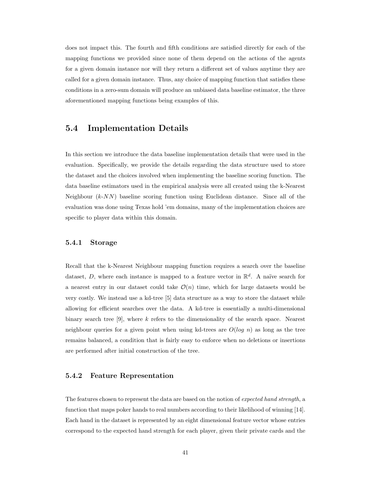does not impact this. The fourth and fifth conditions are satisfied directly for each of the mapping functions we provided since none of them depend on the actions of the agents for a given domain instance nor will they return a different set of values anytime they are called for a given domain instance. Thus, any choice of mapping function that satisfies these conditions in a zero-sum domain will produce an unbiased data baseline estimator, the three aforementioned mapping functions being examples of this.

## 5.4 Implementation Details

In this section we introduce the data baseline implementation details that were used in the evaluation. Specifically, we provide the details regarding the data structure used to store the dataset and the choices involved when implementing the baseline scoring function. The data baseline estimators used in the empirical analysis were all created using the k-Nearest Neighbour  $(k-NN)$  baseline scoring function using Euclidean distance. Since all of the evaluation was done using Texas hold 'em domains, many of the implementation choices are specific to player data within this domain.

#### 5.4.1 Storage

Recall that the k-Nearest Neighbour mapping function requires a search over the baseline dataset, D, where each instance is mapped to a feature vector in  $\mathbb{R}^d$ . A naïve search for a nearest entry in our dataset could take  $\mathcal{O}(n)$  time, which for large datasets would be very costly. We instead use a kd-tree [5] data structure as a way to store the dataset while allowing for efficient searches over the data. A kd-tree is essentially a multi-dimensional binary search tree [9], where  $k$  refers to the dimensionality of the search space. Nearest neighbour queries for a given point when using kd-trees are  $O(log n)$  as long as the tree remains balanced, a condition that is fairly easy to enforce when no deletions or insertions are performed after initial construction of the tree.

#### 5.4.2 Feature Representation

The features chosen to represent the data are based on the notion of expected hand strength, a function that maps poker hands to real numbers according to their likelihood of winning [14]. Each hand in the dataset is represented by an eight dimensional feature vector whose entries correspond to the expected hand strength for each player, given their private cards and the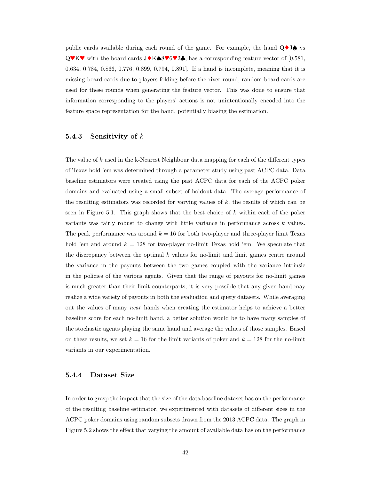public cards available during each round of the game. For example, the hand  $\mathbf{Q} \blacklozenge \mathbf{J} \blacklozenge$  vs  $Q$ ♥K♥ with the board cards J♦K♠8♥6♥2♣, has a corresponding feature vector of [0.581, 0.634, 0.784, 0.866, 0.776, 0.899, 0.794, 0.891]. If a hand is incomplete, meaning that it is missing board cards due to players folding before the river round, random board cards are used for these rounds when generating the feature vector. This was done to ensure that information corresponding to the players' actions is not unintentionally encoded into the feature space representation for the hand, potentially biasing the estimation.

#### 5.4.3 Sensitivity of  $k$

The value of k used in the k-Nearest Neighbour data mapping for each of the different types of Texas hold 'em was determined through a parameter study using past ACPC data. Data baseline estimators were created using the past ACPC data for each of the ACPC poker domains and evaluated using a small subset of holdout data. The average performance of the resulting estimators was recorded for varying values of  $k$ , the results of which can be seen in Figure 5.1. This graph shows that the best choice of  $k$  within each of the poker variants was fairly robust to change with little variance in performance across  $k$  values. The peak performance was around  $k = 16$  for both two-player and three-player limit Texas hold 'em and around  $k = 128$  for two-player no-limit Texas hold 'em. We speculate that the discrepancy between the optimal  $k$  values for no-limit and limit games centre around the variance in the payouts between the two games coupled with the variance intrinsic in the policies of the various agents. Given that the range of payouts for no-limit games is much greater than their limit counterparts, it is very possible that any given hand may realize a wide variety of payouts in both the evaluation and query datasets. While averaging out the values of many near hands when creating the estimator helps to achieve a better baseline score for each no-limit hand, a better solution would be to have many samples of the stochastic agents playing the same hand and average the values of those samples. Based on these results, we set  $k = 16$  for the limit variants of poker and  $k = 128$  for the no-limit variants in our experimentation.

#### 5.4.4 Dataset Size

In order to grasp the impact that the size of the data baseline dataset has on the performance of the resulting baseline estimator, we experimented with datasets of different sizes in the ACPC poker domains using random subsets drawn from the 2013 ACPC data. The graph in Figure 5.2 shows the effect that varying the amount of available data has on the performance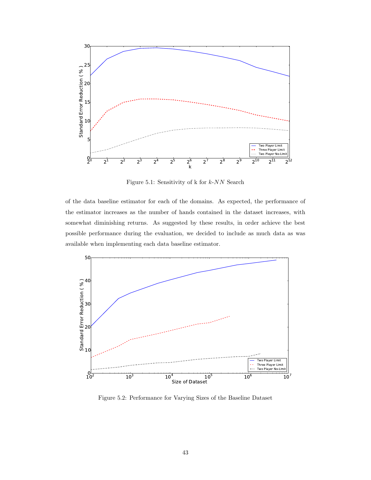

Figure 5.1: Sensitivity of  $k$  for  $k$ -NN Search

of the data baseline estimator for each of the domains. As expected, the performance of the estimator increases as the number of hands contained in the dataset increases, with somewhat diminishing returns. As suggested by these results, in order achieve the best possible performance during the evaluation, we decided to include as much data as was available when implementing each data baseline estimator.



Figure 5.2: Performance for Varying Sizes of the Baseline Dataset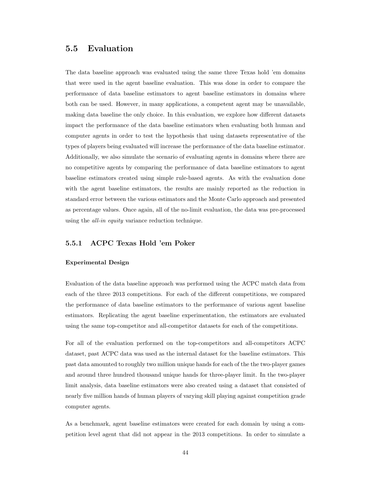### 5.5 Evaluation

The data baseline approach was evaluated using the same three Texas hold 'em domains that were used in the agent baseline evaluation. This was done in order to compare the performance of data baseline estimators to agent baseline estimators in domains where both can be used. However, in many applications, a competent agent may be unavailable, making data baseline the only choice. In this evaluation, we explore how different datasets impact the performance of the data baseline estimators when evaluating both human and computer agents in order to test the hypothesis that using datasets representative of the types of players being evaluated will increase the performance of the data baseline estimator. Additionally, we also simulate the scenario of evaluating agents in domains where there are no competitive agents by comparing the performance of data baseline estimators to agent baseline estimators created using simple rule-based agents. As with the evaluation done with the agent baseline estimators, the results are mainly reported as the reduction in standard error between the various estimators and the Monte Carlo approach and presented as percentage values. Once again, all of the no-limit evaluation, the data was pre-processed using the all-in equity variance reduction technique.

### 5.5.1 ACPC Texas Hold 'em Poker

#### Experimental Design

Evaluation of the data baseline approach was performed using the ACPC match data from each of the three 2013 competitions. For each of the different competitions, we compared the performance of data baseline estimators to the performance of various agent baseline estimators. Replicating the agent baseline experimentation, the estimators are evaluated using the same top-competitor and all-competitor datasets for each of the competitions.

For all of the evaluation performed on the top-competitors and all-competitors ACPC dataset, past ACPC data was used as the internal dataset for the baseline estimators. This past data amounted to roughly two million unique hands for each of the the two-player games and around three hundred thousand unique hands for three-player limit. In the two-player limit analysis, data baseline estimators were also created using a dataset that consisted of nearly five million hands of human players of varying skill playing against competition grade computer agents.

As a benchmark, agent baseline estimators were created for each domain by using a competition level agent that did not appear in the 2013 competitions. In order to simulate a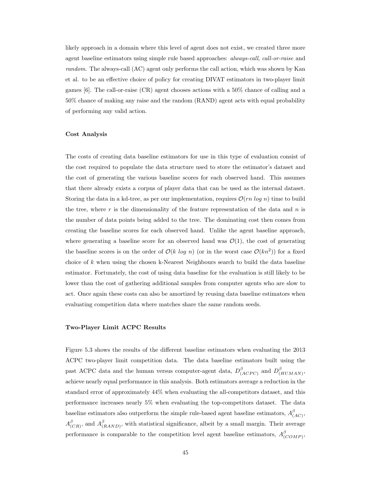likely approach in a domain where this level of agent does not exist, we created three more agent baseline estimators using simple rule based approaches: always-call, call-or-raise and random. The always-call (AC) agent only performs the call action, which was shown by Kan et al. to be an effective choice of policy for creating DIVAT estimators in two-player limit games [6]. The call-or-raise (CR) agent chooses actions with a 50% chance of calling and a 50% chance of making any raise and the random (RAND) agent acts with equal probability of performing any valid action.

#### Cost Analysis

The costs of creating data baseline estimators for use in this type of evaluation consist of the cost required to populate the data structure used to store the estimator's dataset and the cost of generating the various baseline scores for each observed hand. This assumes that there already exists a corpus of player data that can be used as the internal dataset. Storing the data in a kd-tree, as per our implementation, requires  $\mathcal{O}(rn \log n)$  time to build the tree, where  $r$  is the dimensionality of the feature representation of the data and  $n$  is the number of data points being added to the tree. The dominating cost then comes from creating the baseline scores for each observed hand. Unlike the agent baseline approach, where generating a baseline score for an observed hand was  $\mathcal{O}(1)$ , the cost of generating the baseline scores is on the order of  $\mathcal{O}(k \log n)$  (or in the worst case  $\mathcal{O}(kn^2)$ ) for a fixed choice of  $k$  when using the chosen k-Nearest Neighbours search to build the data baseline estimator. Fortunately, the cost of using data baseline for the evaluation is still likely to be lower than the cost of gathering additional samples from computer agents who are slow to act. Once again these costs can also be amortized by reusing data baseline estimators when evaluating competition data where matches share the same random seeds.

#### Two-Player Limit ACPC Results

Figure 5.3 shows the results of the different baseline estimators when evaluating the 2013 ACPC two-player limit competition data. The data baseline estimators built using the past ACPC data and the human versus computer-agent data,  $D_{\ell}^{\beta}$  $\frac{\beta}{(ACPC)}$  and  $D^{\beta}_{(A)}$ (HUMAN) , achieve nearly equal performance in this analysis. Both estimators average a reduction in the standard error of approximately 44% when evaluating the all-competitors dataset, and this performance increases nearly 5% when evaluating the top-competitors dataset. The data baseline estimators also outperform the simple rule-based agent baseline estimators,  $A_{\ell}^{\beta}$ p<br>(AC)'  $A^\beta_\alpha$  $\frac{\beta}{(CR)}$ , and  $A_{(.)}^{\beta}$  $^{p}_{(RAND)}$ , with statistical significance, albeit by a small margin. Their average performance is comparable to the competition level agent baseline estimators,  $A_{\mu}^{\beta}$ p<br>(COMP)'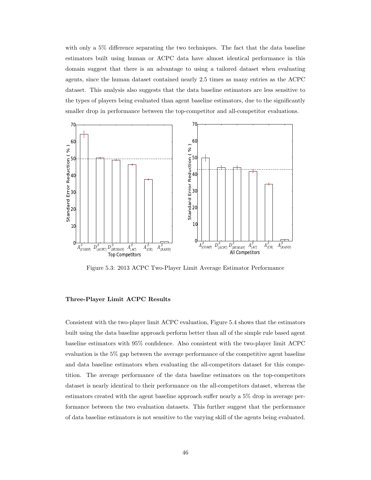with only a 5% difference separating the two techniques. The fact that the data baseline estimators built using human or ACPC data have almost identical performance in this domain suggest that there is an advantage to using a tailored dataset when evaluating agents, since the human dataset contained nearly 2.5 times as many entries as the ACPC dataset. This analysis also suggests that the data baseline estimators are less sensitive to the types of players being evaluated than agent baseline estimators, due to the significantly smaller drop in performance between the top-competitor and all-competitor evaluations.



Figure 5.3: 2013 ACPC Two-Player Limit Average Estimator Performance

#### Three-Player Limit ACPC Results

Consistent with the two-player limit ACPC evaluation, Figure 5.4 shows that the estimators built using the data baseline approach perform better than all of the simple rule based agent baseline estimators with 95% confidence. Also consistent with the two-player limit ACPC evaluation is the 5% gap between the average performance of the competitive agent baseline and data baseline estimators when evaluating the all-competitors dataset for this competition. The average performance of the data baseline estimators on the top-competitors dataset is nearly identical to their performance on the all-competitors dataset, whereas the estimators created with the agent baseline approach suffer nearly a 5% drop in average performance between the two evaluation datasets. This further suggest that the performance of data baseline estimators is not sensitive to the varying skill of the agents being evaluated.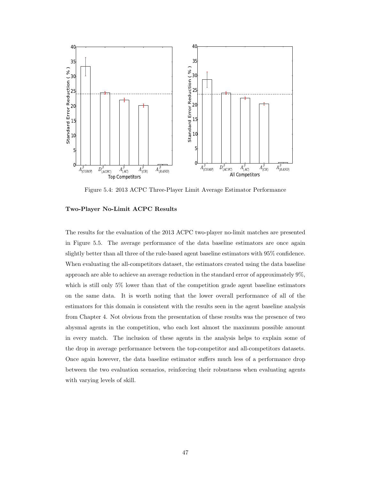

Figure 5.4: 2013 ACPC Three-Player Limit Average Estimator Performance

#### Two-Player No-Limit ACPC Results

The results for the evaluation of the 2013 ACPC two-player no-limit matches are presented in Figure 5.5. The average performance of the data baseline estimators are once again slightly better than all three of the rule-based agent baseline estimators with 95% confidence. When evaluating the all-competitors dataset, the estimators created using the data baseline approach are able to achieve an average reduction in the standard error of approximately 9%, which is still only 5% lower than that of the competition grade agent baseline estimators on the same data. It is worth noting that the lower overall performance of all of the estimators for this domain is consistent with the results seen in the agent baseline analysis from Chapter 4. Not obvious from the presentation of these results was the presence of two abysmal agents in the competition, who each lost almost the maximum possible amount in every match. The inclusion of these agents in the analysis helps to explain some of the drop in average performance between the top-competitor and all-competitors datasets. Once again however, the data baseline estimator suffers much less of a performance drop between the two evaluation scenarios, reinforcing their robustness when evaluating agents with varying levels of skill.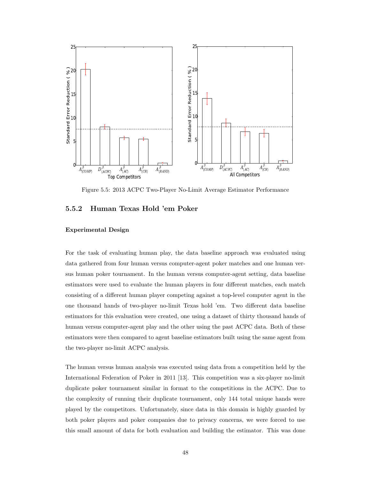

Figure 5.5: 2013 ACPC Two-Player No-Limit Average Estimator Performance

#### 5.5.2 Human Texas Hold 'em Poker

#### Experimental Design

For the task of evaluating human play, the data baseline approach was evaluated using data gathered from four human versus computer-agent poker matches and one human versus human poker tournament. In the human versus computer-agent setting, data baseline estimators were used to evaluate the human players in four different matches, each match consisting of a different human player competing against a top-level computer agent in the one thousand hands of two-player no-limit Texas hold 'em. Two different data baseline estimators for this evaluation were created, one using a dataset of thirty thousand hands of human versus computer-agent play and the other using the past ACPC data. Both of these estimators were then compared to agent baseline estimators built using the same agent from the two-player no-limit ACPC analysis.

The human versus human analysis was executed using data from a competition held by the International Federation of Poker in 2011 [13]. This competition was a six-player no-limit duplicate poker tournament similar in format to the competitions in the ACPC. Due to the complexity of running their duplicate tournament, only 144 total unique hands were played by the competitors. Unfortunately, since data in this domain is highly guarded by both poker players and poker companies due to privacy concerns, we were forced to use this small amount of data for both evaluation and building the estimator. This was done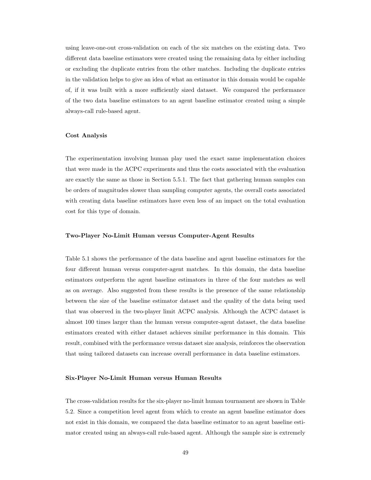using leave-one-out cross-validation on each of the six matches on the existing data. Two different data baseline estimators were created using the remaining data by either including or excluding the duplicate entries from the other matches. Including the duplicate entries in the validation helps to give an idea of what an estimator in this domain would be capable of, if it was built with a more sufficiently sized dataset. We compared the performance of the two data baseline estimators to an agent baseline estimator created using a simple always-call rule-based agent.

#### Cost Analysis

The experimentation involving human play used the exact same implementation choices that were made in the ACPC experiments and thus the costs associated with the evaluation are exactly the same as those in Section 5.5.1. The fact that gathering human samples can be orders of magnitudes slower than sampling computer agents, the overall costs associated with creating data baseline estimators have even less of an impact on the total evaluation cost for this type of domain.

#### Two-Player No-Limit Human versus Computer-Agent Results

Table 5.1 shows the performance of the data baseline and agent baseline estimators for the four different human versus computer-agent matches. In this domain, the data baseline estimators outperform the agent baseline estimators in three of the four matches as well as on average. Also suggested from these results is the presence of the same relationship between the size of the baseline estimator dataset and the quality of the data being used that was observed in the two-player limit ACPC analysis. Although the ACPC dataset is almost 100 times larger than the human versus computer-agent dataset, the data baseline estimators created with either dataset achieves similar performance in this domain. This result, combined with the performance versus dataset size analysis, reinforces the observation that using tailored datasets can increase overall performance in data baseline estimators.

#### Six-Player No-Limit Human versus Human Results

The cross-validation results for the six-player no-limit human tournament are shown in Table 5.2. Since a competition level agent from which to create an agent baseline estimator does not exist in this domain, we compared the data baseline estimator to an agent baseline estimator created using an always-call rule-based agent. Although the sample size is extremely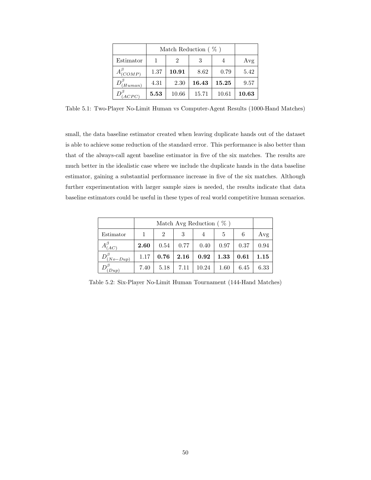|                      |      | Match Reduction $(\% )$ |       |       |       |  |  |  |
|----------------------|------|-------------------------|-------|-------|-------|--|--|--|
| Estimator            |      | 2                       | 3     |       | Avg   |  |  |  |
| $A^{\beta}_{(COMP)}$ | 1.37 | 10.91                   | 8.62  | 0.79  | 5.42  |  |  |  |
| (Human)              | 4.31 | 2.30                    | 16.43 | 15.25 | 9.57  |  |  |  |
| ACPC                 | 5.53 | 10.66                   | 15.71 | 10.61 | 10.63 |  |  |  |

Table 5.1: Two-Player No-Limit Human vs Computer-Agent Results (1000-Hand Matches)

small, the data baseline estimator created when leaving duplicate hands out of the dataset is able to achieve some reduction of the standard error. This performance is also better than that of the always-call agent baseline estimator in five of the six matches. The results are much better in the idealistic case where we include the duplicate hands in the data baseline estimator, gaining a substantial performance increase in five of the six matches. Although further experimentation with larger sample sizes is needed, the results indicate that data baseline estimators could be useful in these types of real world competitive human scenarios.

|                          |      | Match Avg Reduction $(\% )$ |      |       |      |      |      |  |  |
|--------------------------|------|-----------------------------|------|-------|------|------|------|--|--|
| Estimator                |      | $\mathfrak{D}$              | 3    | 4     | 5    | 6    | Avg  |  |  |
| (AC)                     | 2.60 | 0.54                        | 0.77 | 0.40  | 0.97 | 0.37 | 0.94 |  |  |
| $D^{\ell}$<br>$(No-Dup)$ | 1.17 | 0.76                        | 2.16 | 0.92  | 1.33 | 0.61 | 1.15 |  |  |
| $_{Dup}$                 | 7.40 | 5.18                        | 7.11 | 10.24 | 1.60 | 6.45 | 6.33 |  |  |

Table 5.2: Six-Player No-Limit Human Tournament (144-Hand Matches)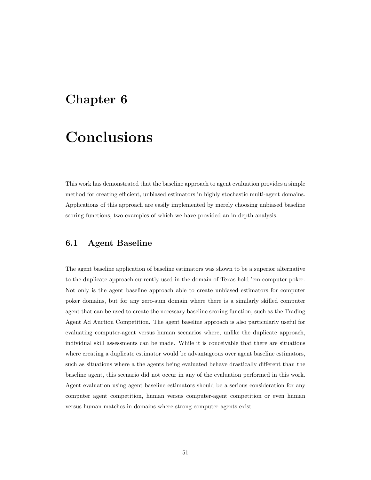## Chapter 6

# Conclusions

This work has demonstrated that the baseline approach to agent evaluation provides a simple method for creating efficient, unbiased estimators in highly stochastic multi-agent domains. Applications of this approach are easily implemented by merely choosing unbiased baseline scoring functions, two examples of which we have provided an in-depth analysis.

## 6.1 Agent Baseline

The agent baseline application of baseline estimators was shown to be a superior alternative to the duplicate approach currently used in the domain of Texas hold 'em computer poker. Not only is the agent baseline approach able to create unbiased estimators for computer poker domains, but for any zero-sum domain where there is a similarly skilled computer agent that can be used to create the necessary baseline scoring function, such as the Trading Agent Ad Auction Competition. The agent baseline approach is also particularly useful for evaluating computer-agent versus human scenarios where, unlike the duplicate approach, individual skill assessments can be made. While it is conceivable that there are situations where creating a duplicate estimator would be advantageous over agent baseline estimators, such as situations where a the agents being evaluated behave drastically different than the baseline agent, this scenario did not occur in any of the evaluation performed in this work. Agent evaluation using agent baseline estimators should be a serious consideration for any computer agent competition, human versus computer-agent competition or even human versus human matches in domains where strong computer agents exist.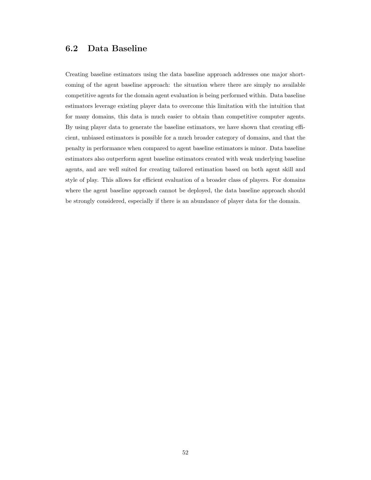## 6.2 Data Baseline

Creating baseline estimators using the data baseline approach addresses one major shortcoming of the agent baseline approach: the situation where there are simply no available competitive agents for the domain agent evaluation is being performed within. Data baseline estimators leverage existing player data to overcome this limitation with the intuition that for many domains, this data is much easier to obtain than competitive computer agents. By using player data to generate the baseline estimators, we have shown that creating efficient, unbiased estimators is possible for a much broader category of domains, and that the penalty in performance when compared to agent baseline estimators is minor. Data baseline estimators also outperform agent baseline estimators created with weak underlying baseline agents, and are well suited for creating tailored estimation based on both agent skill and style of play. This allows for efficient evaluation of a broader class of players. For domains where the agent baseline approach cannot be deployed, the data baseline approach should be strongly considered, especially if there is an abundance of player data for the domain.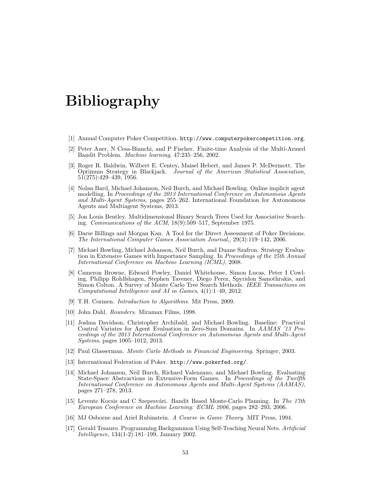# Bibliography

- [1] Annual Computer Poker Competition. http://www.computerpokercompetition.org.
- [2] Peter Auer, N Cesa-Bianchi, and P Fischer. Finite-time Analysis of the Multi-Armed Bandit Problem. Machine learning, 47:235–256, 2002.
- [3] Roger R. Baldwin, Wilbert E. Centey, Maisel Hebert, and James P. McDermott. The Optimum Strategy in Blackjack. Journal of the American Statistical Association, 51(275):429–439, 1956.
- [4] Nolan Bard, Michael Johanson, Neil Burch, and Michael Bowling. Online implicit agent modelling. In Proceedings of the 2013 International Conference on Autonomous Agents and Multi-Agent Systems, pages 255–262. International Foundation for Autonomous Agents and Multiagent Systems, 2013.
- [5] Jon Louis Bentley. Multidimensional Binary Search Trees Used for Associative Searching. Communications of the ACM, 18(9):509–517, September 1975.
- [6] Darse Billings and Morgan Kan. A Tool for the Direct Assessment of Poker Decisions. The International Computer Games Association Journal,, 29(3):119–142, 2006.
- [7] Michael Bowling, Michael Johanson, Neil Burch, and Duane Szafron. Strategy Evaluation in Extensive Games with Importance Sampling. In Proceedings of the 25th Annual International Conference on Machine Learning (ICML), 2008.
- [8] Cameron Browne, Edward Powley, Daniel Whitehouse, Simon Lucas, Peter I Cowling, Philipp Rohlfshagen, Stephen Tavener, Diego Perez, Spyridon Samothrakis, and Simon Colton. A Survey of Monte Carlo Tree Search Methods. IEEE Transactions on Computational Intelligence and AI in Games, 4(1):1–49, 2012.
- [9] T.H. Cormen. Introduction to Algorithms. Mit Press, 2009.
- [10] John Dahl. Rounders. Miramax Films, 1998.
- [11] Joshua Davidson, Christopher Archibald, and Michael Bowling. Baseline: Practical Control Variates for Agent Evaluation in Zero-Sum Domains. In AAMAS '13 Proceedings of the 2013 International Conference on Autonomous Agents and Multi-Agent Systems, pages 1005–1012, 2013.
- [12] Paul Glasserman. Monte Carlo Methods in Financial Engineering. Springer, 2003.
- [13] International Federation of Poker. http://www.pokerfed.org/.
- [14] Michael Johanson, Neil Burch, Richard Valenzano, and Michael Bowling. Evaluating State-Space Abstractions in Extensive-Form Games. In Proceedings of the Twelfth International Conference on Autonomous Agents and Multi-Agent Systems (AAMAS), pages 271–278, 2013.
- [15] Levente Kocsis and C Szepesvári. Bandit Based Monte-Carlo Planning. In The 17th European Conference on Machine Learning: ECML 2006, pages 282–293, 2006.
- [16] MJ Osborne and Ariel Rubinstein. A Course in Game Theory. MIT Press, 1994.
- [17] Gerald Tesauro. Programming Backgammon Using Self-Teaching Neural Nets. Artificial Intelligence, 134(1-2):181–199, January 2002.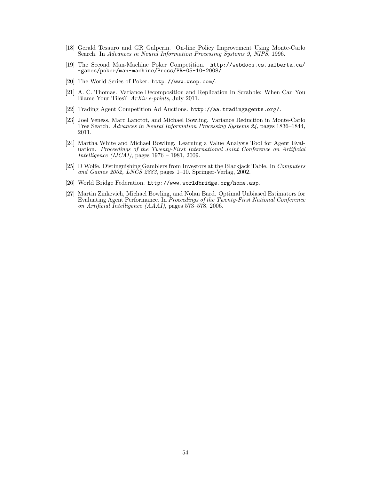- [18] Gerald Tesauro and GR Galperin. On-line Policy Improvement Using Monte-Carlo Search. In Advances in Neural Information Processing Systems 9, NIPS, 1996.
- [19] The Second Man-Machine Poker Competition. http://webdocs.cs.ualberta.ca/ ~games/poker/man-machine/Press/PR-05-10-2008/.
- [20] The World Series of Poker. http://www.wsop.com/.
- [21] A. C. Thomas. Variance Decomposition and Replication In Scrabble: When Can You Blame Your Tiles? ArXiv e-prints, July 2011.
- [22] Trading Agent Competition Ad Auctions. http://aa.tradingagents.org/.
- [23] Joel Veness, Marc Lanctot, and Michael Bowling. Variance Reduction in Monte-Carlo Tree Search. Advances in Neural Information Processing Systems 24, pages 1836–1844, 2011.
- [24] Martha White and Michael Bowling. Learning a Value Analysis Tool for Agent Evaluation. Proceedings of the Twenty-First International Joint Conference on Artificial Intelligence (IJCAI), pages 1976 – 1981, 2009.
- [25] D Wolfe. Distinguishing Gamblers from Investors at the Blackjack Table. In Computers and Games  $200\overline{2}$ , LNCS  $2883$ , pages 1–10. Springer-Verlag,  $2002$ .
- [26] World Bridge Federation. http://www.worldbridge.org/home.asp.
- [27] Martin Zinkevich, Michael Bowling, and Nolan Bard. Optimal Unbiased Estimators for Evaluating Agent Performance. In Proceedings of the Twenty-First National Conference on Artificial Intelligence (AAAI), pages 573–578, 2006.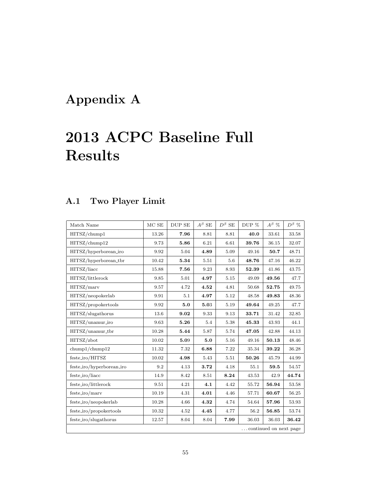# Appendix A

# 2013 ACPC Baseline Full Results

## A.1 Two Player Limit

| Match Name                | $MCSE$    | DUP SE     | $A^\beta$ SE | $D^{\beta}$ SE | DUP % | $A^\beta$ % | $D^{\beta}$ % |  |  |
|---------------------------|-----------|------------|--------------|----------------|-------|-------------|---------------|--|--|
| HITSZ/chump1              | 13.26     | 7.96       | 8.81         | 8.81           | 40.0  | 33.61       | 33.58         |  |  |
| HITSZ/chump12             | 9.73      | 5.86       | 6.21         | 6.61           | 39.76 | 36.15       | 32.07         |  |  |
| HITSZ/hyperborean_iro     | 9.92      | 5.04       | 4.89         | 5.09           | 49.16 | 50.7        | 48.71         |  |  |
| HITSZ/hyperborean_tbr     | $10.42\,$ | 5.34       | 5.51         | 5.6            | 48.76 | 47.16       | 46.22         |  |  |
| HITSZ/liacc               | 15.88     | 7.56       | 9.23         | 8.93           | 52.39 | 41.86       | 43.75         |  |  |
| HITSZ/littlerock          | 9.85      | 5.01       | 4.97         | 5.15           | 49.09 | 49.56       | 47.7          |  |  |
| HITSZ/marv                | 9.57      | 4.72       | 4.52         | 4.81           | 50.68 | 52.75       | 49.75         |  |  |
| HITSZ/neopokerlab         | 9.91      | 5.1        | 4.97         | 5.12           | 48.58 | 49.83       | 48.36         |  |  |
| HITSZ/propokertools       | 9.92      | 5.0        | 5.03         | 5.19           | 49.64 | 49.25       | 47.7          |  |  |
| HITSZ/slugathorus         | 13.6      | 9.02       | 9.33         | 9.13           | 33.71 | 31.42       | 32.85         |  |  |
| HITSZ/unamur_iro          | 9.63      | $\bf 5.26$ | 5.4          | 5.38           | 45.33 | 43.93       | 44.1          |  |  |
| HITSZ/unamur_tbr          | 10.28     | 5.44       | 5.87         | 5.74           | 47.05 | 42.88       | 44.13         |  |  |
| HITSZ/zbot                | 10.02     | 5.09       | 5.0          | 5.16           | 49.16 | 50.13       | 48.46         |  |  |
| chump1/chump12            | 11.32     | 7.32       | 6.88         | 7.22           | 35.34 | 39.22       | 36.28         |  |  |
| feste_iro/HITSZ           | 10.02     | 4.98       | 5.43         | 5.51           | 50.26 | 45.79       | 44.99         |  |  |
| feste_iro/hyperborean_iro | 9.2       | 4.13       | 3.72         | 4.18           | 55.1  | 59.5        | 54.57         |  |  |
| feste_iro/liacc           | 14.9      | 8.42       | 8.51         | 8.24           | 43.53 | 42.9        | 44.74         |  |  |
| feste_iro/littlerock      | 9.51      | 4.21       | 4.1          | 4.42           | 55.72 | 56.94       | 53.58         |  |  |
| $feste\_iro/marv$         | 10.19     | 4.31       | 4.01         | 4.46           | 57.71 | 60.67       | 56.25         |  |  |
| feste_iro/neopokerlab     | 10.28     | 4.66       | 4.32         | 4.74           | 54.64 | 57.96       | $53.93\,$     |  |  |
| feste_iro/propokertools   | 10.32     | 4.52       | 4.45         | 4.77           | 56.2  | 56.85       | 53.74         |  |  |
| feste_iro/slugathorus     | 12.57     | 8.04       | 8.04         | 7.99           | 36.03 | 36.03       | 36.42         |  |  |
| continued on next page    |           |            |              |                |       |             |               |  |  |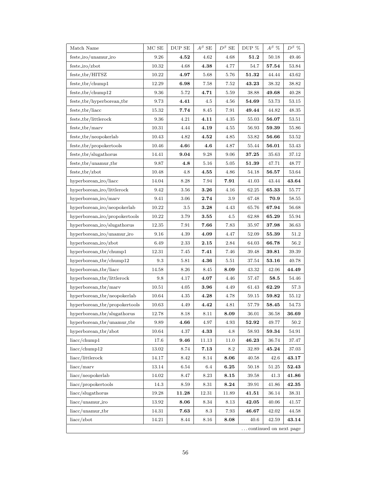| Match Name                    | $MCSE$    | DUP SE   | $A^\beta$ SE        | $D^{\beta}$ SE | DUP $\%$               | $A^{\beta}$ % | $D^{\beta}$ % |
|-------------------------------|-----------|----------|---------------------|----------------|------------------------|---------------|---------------|
| $feste\_iro/unamur\_iro$      | 9.26      | 4.52     | 4.62                | 4.68           | 51.2                   | 50.18         | 49.46         |
| $feste\_iro/zbot$             | 10.32     | 4.68     | 4.38                | 4.77           | 54.7                   | 57.54         | 53.84         |
| feste_tbr/HITSZ               | 10.22     | 4.97     | 5.68                | 5.76           | 51.32                  | 44.44         | 43.62         |
| $feste_tbr/chump1$            | 12.29     | 6.98     | 7.58                | 7.52           | 43.23                  | 38.32         | 38.82         |
| $feste_tbr/chump12$           | 9.36      | $5.72\,$ | 4.71                | 5.59           | 38.88                  | 49.68         | 40.28         |
| feste_tbr/hyperborean_tbr     | 9.73      | 4.41     | 4.5                 | 4.56           | 54.69                  | 53.73         | 53.15         |
| feste_tbr/liacc               | 15.32     | 7.74     | 8.45                | 7.91           | 49.44                  | 44.82         | 48.35         |
| feste_tbr/littlerock          | 9.36      | 4.21     | 4.11                | 4.35           | 55.03                  | 56.07         | 53.51         |
| $feste\_tbr/maxv$             | 10.31     | 4.44     | 4.19                | 4.55           | 56.93                  | 59.39         | 55.86         |
| feste_tbr/neopokerlab         | 10.43     | 4.82     | 4.52                | 4.85           | 53.82                  | 56.66         | $53.52\,$     |
| feste_tbr/propokertools       | 10.46     | 4.66     | 4.6                 | 4.87           | 55.44                  | 56.01         | 53.43         |
| feste_tbr/slugathorus         | 14.41     | 9.04     | 9.28                | 9.06           | 37.25                  | 35.63         | 37.12         |
| feste_tbr/unamur_tbr          | 9.87      | 4.8      | $5.16\,$            | 5.05           | 51.39                  | 47.71         | 48.77         |
| $feste_tbr/zbot$              | 10.48     | 4.8      | $\bf 4.55$          | 4.86           | 54.18                  | 56.57         | 53.64         |
| hyperborean_iro/liacc         | 14.04     | 8.28     | 7.94                | 7.91           | 41.03                  | 43.44         | 43.64         |
| hyperborean_iro/littlerock    | 9.42      | $3.56\,$ | 3.26                | 4.16           | 62.25                  | $\bf65.33$    | 55.77         |
| hyperborean_iro/marv          | 9.41      | 3.06     | 2.74                | 3.9            | 67.48                  | 70.9          | 58.55         |
| hyperborean_iro/neopokerlab   | 10.22     | $3.5\,$  | 3.28                | 4.43           | 65.76                  | 67.94         | 56.68         |
| hyperborean_iro/propokertools | 10.22     | 3.79     | 3.55                | 4.5            | 62.88                  | 65.29         | 55.94         |
| hyperborean_iro/slugathorus   | 12.35     | 7.91     | 7.66                | 7.83           | 35.97                  | 37.98         | 36.63         |
| hyperborean_iro/unamur_iro    | 9.16      | 4.39     | 4.09                | 4.47           | 52.09                  | 55.39         | 51.2          |
| hyperborean_iro/zbot          | 6.49      | 2.33     | 2.15                | 2.84           | 64.03                  | 66.78         | 56.2          |
| hyperborean_tbr/chump1        | 12.31     | 7.45     | 7.41                | 7.46           | 39.48                  | 39.81         | 39.39         |
| hyperborean_tbr/chump12       | 9.3       | 5.81     | 4.36                | 5.51           | 37.54                  | 53.16         | 40.78         |
| hyperborean_tbr/liacc         | 14.58     | 8.26     | 8.45                | 8.09           | 43.32                  | 42.06         | 44.49         |
| hyperborean_tbr/littlerock    | 9.8       | 4.17     | 4.07                | 4.46           | 57.47                  | 58.5          | 54.46         |
| hyperborean_tbr/marv          | 10.51     | $4.05\,$ | $\bf 3.96$          | 4.49           | 61.43                  | 62.29         | 57.3          |
| hyperborean_tbr/neopokerlab   | $10.64\,$ | $4.35\,$ | 4.28                | 4.78           | 59.15                  | 59.82         | 55.12         |
| hyperborean_tbr/propokertools | 10.63     | 4.49     | 4.42                | 4.81           | 57.79                  | 58.45         | 54.73         |
| hyperborean_tbr/slugathorus   | 12.78     | 8.18     | 8.11                | 8.09           | 36.01                  | $36.58\,$     | $\bf 36.69$   |
| hyperborean_tbr/unamur_tbr    | 9.89      | 4.66     | 4.97                | 4.93           | 52.92                  | 49.77         | 50.2          |
| hyperborean_tbr/zbot          | 10.64     | 4.37     | $\boldsymbol{4.33}$ | 4.8            | 58.93                  | 59.34         | 54.91         |
| liacc/chump1                  | 17.6      | 9.46     | 11.13               | 11.0           | 46.23                  | 36.74         | 37.47         |
| liacc/chump12                 | 13.02     | 8.74     | $\bf 7.13$          | 8.2            | 32.89                  | 45.24         | 37.03         |
| liacc/littlerock              | 14.17     | 8.42     | 8.14                | 8.06           | 40.58                  | 42.6          | 43.17         |
| liacc/marv                    | 13.14     | 6.54     | 6.4                 | 6.25           | 50.18                  | 51.25         | 52.43         |
| liacc/neopokerlab             | 14.02     | 8.47     | 8.23                | 8.15           | 39.58                  | 41.3          | 41.86         |
| liacc/propokertools           | 14.3      | $8.59\,$ | 8.31                | 8.24           | 39.91                  | 41.86         | 42.35         |
| liacc/slugathorus             | 19.28     | 11.28    | 12.31               | 11.89          | 41.51                  | 36.14         | 38.31         |
| liacc/unamur_iro              | 13.92     | 8.06     | 8.34                | 8.13           | 42.05                  | 40.06         | 41.57         |
| $liacc/unamur_tbr$            | 14.31     | 7.63     | 8.3                 | 7.93           | 46.67                  | 42.02         | 44.58         |
| liacc/zbot                    | 14.21     | 8.44     | 8.16                | 8.08           | 40.6                   | 42.59         | 43.14         |
|                               |           |          |                     |                | continued on next page |               |               |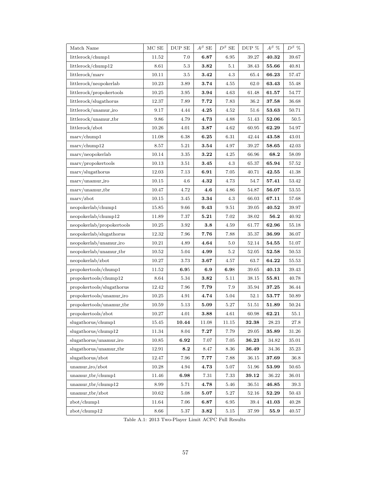| Match Name                   | $MCSE$ | DUP SE              | $A^\beta$ SE | $D^{\beta}$ SE | DUP %        | $A^{\beta}$ % | $D^{\beta}$ % |
|------------------------------|--------|---------------------|--------------|----------------|--------------|---------------|---------------|
| littlerock/chump1            | 11.52  | 7.0                 | 6.87         | 6.95           | 39.27        | 40.32         | 39.67         |
| littlerock/chump12           | 8.61   | 5.3                 | 3.82         | 5.1            | 38.43        | 55.66         | 40.81         |
| littlerock/marv              | 10.11  | 3.5                 | 3.42         | 4.3            | 65.4         | 66.23         | 57.47         |
| littlerock/neopokerlab       | 10.23  | 3.89                | 3.74         | 4.55           | 62.0         | 63.43         | 55.48         |
| littlerock/propokertools     | 10.25  | 3.95                | 3.94         | 4.63           | 61.48        | 61.57         | 54.77         |
| littlerock/slugathorus       | 12.37  | 7.89                | 7.72         | 7.83           | 36.2         | 37.58         | 36.68         |
| littlerock/unamur_iro        | 9.17   | 4.44                | 4.25         | 4.52           | 51.6         | 53.63         | $50.71\,$     |
| littlerock/unamur_tbr        | 9.86   | 4.79                | 4.73         | 4.88           | 51.43        | 52.06         | 50.5          |
| littlerock/zbot              | 10.26  | 4.01                | 3.87         | 4.62           | 60.95        | 62.29         | 54.97         |
| $\text{marv}/\text{chump1}$  | 11.08  | 6.38                | 6.25         | 6.31           | 42.44        | 43.58         | 43.01         |
| $\text{marv}/\text{chump12}$ | 8.57   | 5.21                | 3.54         | 4.97           | 39.27        | 58.65         | 42.03         |
| $\frac{mary}{neopokerlab}$   | 10.14  | 3.35                | 3.22         | 4.25           | 66.96        | 68.2          | 58.09         |
| $\max$ /propokertools        | 10.13  | 3.51                | 3.45         | 4.3            | 65.37        | 65.94         | 57.52         |
| $\frac{maxv}{s}$ lugathorus  | 12.03  | 7.13                | 6.91         | 7.05           | 40.71        | 42.55         | 41.38         |
| marv/unamur_iro              | 10.15  | 4.6                 | 4.32         | 4.73           | 54.7         | 57.41         | 53.42         |
| marv/unamur_tbr              | 10.47  | 4.72                | 4.6          | 4.86           | 54.87        | 56.07         | 53.55         |
| $\frac{mav}{zbot}$           | 10.15  | 3.45                | 3.34         | 4.3            | 66.03        | 67.11         | 57.68         |
| neopokerlab/chump1           | 15.85  | 9.66                | 9.43         | 9.51           | 39.05        | 40.52         | 39.97         |
| neopokerlab/chump12          | 11.89  | 7.37                | 5.21         | 7.02           | 38.02        | 56.2          | 40.92         |
| neopokerlab/propokertools    | 10.25  | 3.92                | $\bf 3.8$    | 4.59           | 61.77        | 62.96         | 55.18         |
| neopokerlab/slugathorus      | 12.32  | 7.96                | 7.76         | 7.88           | 35.37        | 36.99         | 36.07         |
| neopokerlab/unamur_iro       | 10.21  | 4.89                | 4.64         | 5.0            | 52.14        | 54.55         | 51.07         |
| neopokerlab/unamur_tbr       | 10.52  | 5.04                | 4.99         | $5.2\,$        | 52.05        | 52.58         | 50.53         |
| neopokerlab/zbot             | 10.27  | 3.73                | 3.67         | 4.57           | 63.7         | 64.22         | 55.53         |
| propokertools/chump1         | 11.52  | 6.95                | 6.9          | 6.98           | 39.65        | 40.13         | 39.43         |
| propokertools/chump12        | 8.64   | 5.34                | 3.82         | 5.11           | 38.15        | 55.81         | 40.78         |
| propokertools/slugathorus    | 12.42  | 7.96                | 7.79         | 7.9            | 35.94        | 37.25         | 36.44         |
| propokertools/unamur_iro     | 10.25  | 4.91                | 4.74         | 5.04           | 52.1         | 53.77         | 50.89         |
| propokertools/unamur_tbr     | 10.59  | 5.13                | 5.09         | 5.27           | 51.51        | 51.89         | 50.24         |
| propokertools/zbot           | 10.27  | 4.01                | $\bf 3.88$   | 4.61           | $60.98\,$    | 62.21         | 55.1          |
| slugathorus/chump1           | 15.45  | 10.44               | 11.08        | 11.15          | 32.38        | 28.23         | 27.8          |
| slugathorus/chump12          | 11.34  | 8.04                | 7.27         | 7.79           | 29.05        | 35.89         | 31.26         |
| slugathorus/unamur_iro       | 10.85  | $\boldsymbol{6.92}$ | 7.07         | 7.05           | $\bf{36.23}$ | 34.82         | 35.01         |
| slugathorus/unamur_tbr       | 12.91  | 8.2                 | 8.47         | 8.36           | 36.49        | 34.36         | 35.23         |
| slugathorus/zbot             | 12.47  | 7.96                | 7.77         | 7.88           | 36.15        | 37.69         | 36.8          |
| $unamur_iro/zbot$            | 10.28  | 4.94                | 4.73         | 5.07           | 51.96        | 53.99         | 50.65         |
| unamur_tbr/chump1            | 11.46  | $\boldsymbol{6.98}$ | 7.31         | 7.33           | 39.12        | 36.22         | 36.01         |
| $unamur_tbr/chump12$         | 8.99   | 5.71                | 4.78         | 5.46           | 36.51        | 46.85         | 39.3          |
| $unamur_tbr/zbot$            | 10.62  | 5.08                | 5.07         | 5.27           | 52.16        | 52.29         | 50.43         |
| zbot/chump1                  | 11.64  | 7.06                | 6.87         | 6.95           | 39.4         | 41.03         | 40.28         |
| zbot/chump12                 | 8.66   | 5.37                | 3.82         | 5.15           | 37.99        | 55.9          | 40.57         |

Table A.1: 2013 Two-Player Limit ACPC Full Results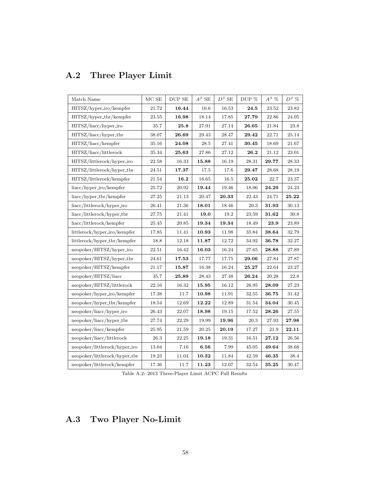| Match Name                    | $MCSE$    | DUP SE | $A^\beta$ SE | $D^{\beta}$ SE | DUP %     | $A^\beta$ % | $D^{\beta}$ % |
|-------------------------------|-----------|--------|--------------|----------------|-----------|-------------|---------------|
| HITSZ/hyper_iro/kempfer       | 21.72     | 16.44  | 16.6         | 16.53          | 24.5      | 23.52       | 23.82         |
| $HITSZ/hyper_tbr/kenpfer$     | 23.55     | 16.98  | 18.14        | 17.85          | 27.79     | 22.86       | 24.05         |
| HITSZ/liacc/hyper_iro         | 35.7      | 25.8   | 27.91        | 27.14          | 26.65     | 21.84       | 23.8          |
| HITSZ/liacc/hyper_tbr         | 38.07     | 26.69  | 29.43        | 28.47          | 29.42     | 22.71       | 25.14         |
| HITSZ/liacc/kempfer           | 35.16     | 24.08  | 28.5         | 27.41          | 30.45     | 18.69       | 21.67         |
| HITSZ/liacc/littlerock        | 35.34     | 25.63  | $27.86\,$    | 27.12          | 26.2      | 21.12       | 23.01         |
| HITSZ/littlerock/hyper_iro    | 22.58     | 16.33  | 15.88        | 16.19          | 28.31     | 29.77       | 28.33         |
| HITSZ/littlerock/hyper_tbr    | 24.51     | 17.37  | 17.5         | 17.6           | 29.47     | 28.68       | 28.19         |
| HITSZ/littlerock/kempfer      | 21.54     | 16.2   | 16.65        | 16.5           | 25.02     | 22.7        | 23.37         |
| $liacc/hyper\_iro/kempfer$    | 25.72     | 20.92  | 19.44        | 19.46          | 18.96     | 24.29       | 24.23         |
| $liacc/hyper_tbr/kenpfer$     | $27.25\,$ | 21.13  | 20.47        | $\bf 20.33$    | 22.43     | 24.71       | 25.22         |
| liacc/littlerock/hyper_iro    | 26.41     | 21.36  | 18.01        | 18.46          | 20.3      | 31.93       | 30.13         |
| liacc/littlerock/hyper_tbr    | 27.75     | 21.41  | 19.0         | 19.2           | 23.59     | 31.62       | 30.8          |
| liacc/littlerock/kempfer      | 25.45     | 20.85  | 19.34        | 19.34          | 18.49     | 23.9        | 23.89         |
| littlerock/hyper_iro/kempfer  | 17.85     | 11.41  | 10.93        | 11.98          | 35.84     | 38.64       | 32.79         |
| littlerock/hyper_tbr/kempfer  | 18.8      | 12.18  | 11.87        | 12.72          | 34.92     | 36.78       | 32.27         |
| neopoker/HITSZ/hyper_iro      | 22.51     | 16.42  | 16.03        | 16.24          | 27.65     | 28.88       | 27.89         |
| neopoker/HITSZ/hyper_tbr      | 24.61     | 17.53  | 17.77        | 17.75          | 29.06     | 27.84       | 27.87         |
| neopoker/HITSZ/kempfer        | 21.17     | 15.87  | 16.38        | 16.24          | 25.27     | 22.64       | 23.27         |
| neopoker/HITSZ/liacc          | 35.7      | 25.89  | 28.43        | 27.48          | 26.24     | 20.28       | 22.8          |
| neopoker/HITSZ/littlerock     | 22.16     | 16.32  | 15.95        | 16.12          | 26.95     | 28.09       | 27.23         |
| neopoker/hyper_iro/kempfer    | 17.38     | 11.7   | 10.98        | 11.91          | $32.55\,$ | 36.75       | 31.42         |
| neopoker/hyper_tbr/kempfer    | 18.54     | 12.69  | 12.22        | 12.89          | 31.54     | 34.04       | 30.45         |
| neopoker/liacc/hyper_iro      | 26.43     | 22.07  | 18.98        | 19.15          | 17.52     | 28.26       | 27.55         |
| neopoker/liacc/hyper_tbr      | 27.74     | 22.29  | 19.99        | 19.96          | 20.3      | 27.93       | 27.98         |
| neopoker/liacc/kempfer        | $25.95\,$ | 21.59  | 20.25        | 20.19          | 17.27     | 21.9        | 22.11         |
| neopoker/liacc/littlerock     | 26.3      | 22.25  | 19.18        | 19.31          | 16.51     | 27.12       | 26.56         |
| neopoker/littlerock/hyper_iro | 13.04     | 7.16   | 6.56         | 7.99           | 45.05     | 49.64       | 38.68         |
| neopoker/littlerock/hyper_tbr | 19.23     | 11.04  | 10.32        | 11.84          | 42.59     | 46.35       | 38.4          |
| neopoker/littlerock/kempfer   | 17.36     | 11.7   | 11.23        | 12.07          | 32.54     | 35.25       | 30.47         |

## A.2 Three Player Limit

Table A.2: 2013 Three-Player Limit ACPC Full Results

## A.3 Two Player No-Limit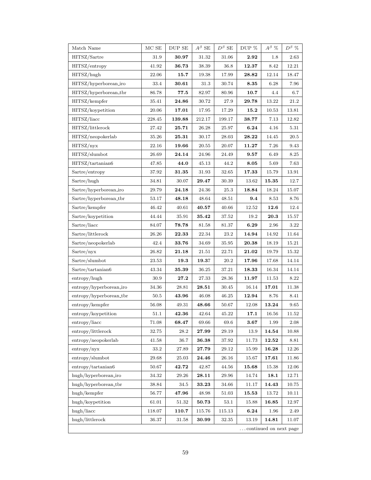| Match Name                              | MCSE   | DUP SE | $A^\beta$ SE | $D^{\beta}$ SE | DUP % | $A^{\beta}$ % | $D^\beta$ % |  |
|-----------------------------------------|--------|--------|--------------|----------------|-------|---------------|-------------|--|
| HITSZ/Sartre                            | 31.9   | 30.97  | 31.32        | 31.06          | 2.92  | 1.8           | 2.63        |  |
| HITSZ/entropy                           | 41.92  | 36.73  | 38.39        | 36.8           | 12.37 | 8.42          | 12.21       |  |
| HITSZ/hugh                              | 22.06  | 15.7   | 19.38        | 17.99          | 28.82 | 12.14         | 18.47       |  |
| HITSZ/hyperborean_iro                   | 33.4   | 30.61  | 31.3         | 30.74          | 8.35  | 6.28          | 7.96        |  |
| HITSZ/hyperborean_tbr                   | 86.78  | 77.5   | 82.97        | 80.96          | 10.7  | 4.4           | 6.7         |  |
| HITSZ/kempfer                           | 35.41  | 24.86  | 30.72        | 27.9           | 29.78 | 13.22         | 21.2        |  |
| HITSZ/koypetition                       | 20.06  | 17.01  | 17.95        | 17.29          | 15.2  | 10.53         | 13.81       |  |
| HITSZ/liacc                             | 228.45 | 139.88 | 212.17       | 199.17         | 38.77 | 7.13          | 12.82       |  |
| HITSZ/littlerock                        | 27.42  | 25.71  | 26.28        | 25.97          | 6.24  | 4.16          | 5.31        |  |
| HITSZ/neopokerlab                       | 35.26  | 25.31  | 30.17        | 28.03          | 28.22 | 14.45         | 20.5        |  |
| HITSZ/nyx                               | 22.16  | 19.66  | 20.55        | 20.07          | 11.27 | 7.26          | 9.43        |  |
| HITSZ/slumbot                           | 26.69  | 24.14  | 24.96        | 24.49          | 9.57  | 6.49          | 8.25        |  |
| HITSZ/tartanian6                        | 47.85  | 44.0   | 45.13        | 44.2           | 8.05  | 5.69          | 7.63        |  |
| Sartre/entropy                          | 37.92  | 31.35  | 31.93        | 32.65          | 17.33 | 15.79         | 13.91       |  |
| Sartre/hugh                             | 34.81  | 30.07  | 29.47        | 30.39          | 13.62 | 15.35         | 12.7        |  |
| Sartre/hyperborean_iro                  | 29.79  | 24.18  | 24.36        | 25.3           | 18.84 | 18.24         | 15.07       |  |
| Sartre/hyperborean_tbr                  | 53.17  | 48.18  | 48.64        | 48.51          | 9.4   | 8.53          | 8.76        |  |
| Sartre/kempfer                          | 46.42  | 40.61  | $\bf 40.57$  | 40.66          | 12.52 | 12.6          | 12.4        |  |
| Sartre/koypetition                      | 44.44  | 35.91  | 35.42        | 37.52          | 19.2  | 20.3          | 15.57       |  |
| Sartre/liacc                            | 84.07  | 78.78  | 81.58        | 81.37          | 6.29  | 2.96          | 3.22        |  |
| Sartre/littlerock                       | 26.26  | 22.33  | 22.34        | 23.2           | 14.94 | 14.92         | 11.64       |  |
| Sartre/neopokerlab                      | 42.4   | 33.76  | 34.69        | 35.95          | 20.38 | 18.19         | 15.21       |  |
| Sartre/nyx                              | 26.82  | 21.18  | 21.51        | 22.71          | 21.02 | 19.79         | 15.32       |  |
| Sartre/slumbot                          | 23.53  | 19.3   | 19.37        | $20.2\,$       | 17.96 | 17.68         | 14.14       |  |
| Sartre/tartanian6                       | 43.34  | 35.39  | $36.25\,$    | 37.21          | 18.33 | 16.34         | 14.14       |  |
| entropy/hugh                            | 30.9   | 27.2   | 27.33        | 28.36          | 11.97 | 11.53         | 8.22        |  |
| entropy/hyperborean_iro                 | 34.36  | 28.81  | $\bf 28.51$  | 30.45          | 16.14 | 17.01         | 11.38       |  |
| entropy/hyperborean_tbr                 | 50.5   | 43.96  | 46.08        | 46.25          | 12.94 | 8.76          | 8.41        |  |
| $\frac{1}{2}$ entropy/kempfer           | 56.08  | 49.31  | 48.66        | 50.67          | 12.08 | 13.24         | 9.65        |  |
| $\mathrm{entropy}/\mathrm{koypetition}$ | 51.1   | 42.36  | 42.64        | 45.22          | 17.1  | 16.56         | 11.52       |  |
| entropy/liacc                           | 71.08  | 68.47  | 69.66        | 69.6           | 3.67  | 1.99          | 2.08        |  |
| entropy/littlerock                      | 32.75  | 28.2   | 27.99        | 29.19          | 13.9  | 14.54         | 10.88       |  |
| $entropy/neopoker$ lab                  | 41.58  | 36.7   | 36.38        | 37.92          | 11.73 | 12.52         | 8.81        |  |
| entropy/nyx                             | 33.2   | 27.89  | 27.79        | 29.12          | 15.99 | 16.28         | 12.26       |  |
| entropy/slumbot                         | 29.68  | 25.03  | 24.46        | 26.16          | 15.67 | 17.61         | 11.86       |  |
| $\frac{entropy}{tartanian6}$            | 50.67  | 42.72  | 42.87        | 44.56          | 15.68 | 15.38         | 12.06       |  |
| hugh/hyperborean_iro                    | 34.32  | 29.26  | 28.11        | 29.96          | 14.74 | 18.1          | 12.71       |  |
| hugh/hyperborean_tbr                    | 38.84  | 34.5   | 33.23        | 34.66          | 11.17 | 14.43         | 10.75       |  |
| hugh/kempfer                            | 56.77  | 47.96  | 48.98        | 51.03          | 15.53 | 13.72         | 10.11       |  |
| hugh/koypetition                        | 61.01  | 51.32  | 50.73        | 53.1           | 15.88 | 16.85         | 12.97       |  |
| $hugh/$ liacc                           | 118.07 | 110.7  | 115.76       | 115.13         | 6.24  | 1.96          | 2.49        |  |
| hugh/littlerock                         | 36.37  | 31.58  | 30.99        | 32.35          | 13.19 | 14.81         | 11.07       |  |
| continued on next page                  |        |        |              |                |       |               |             |  |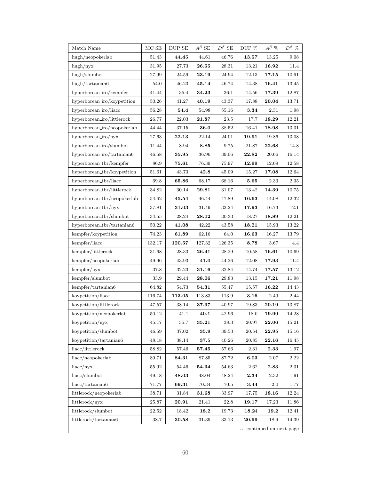| Match Name                       | $MCSE$    | DUP SE       | $A^\beta$ SE                                                | $D^{\beta}$ SE | DUP $\%$ | $A^{\beta}$ %        | $D^{\beta}$ % |  |
|----------------------------------|-----------|--------------|-------------------------------------------------------------|----------------|----------|----------------------|---------------|--|
| hugh/neopokerlab                 | 51.43     | 44.45        | 44.61                                                       | 46.76          | 13.57    | 13.25                | 9.08          |  |
| $\frac{\text{hugh}}{\text{nyx}}$ | 31.95     | 27.73        | $\boldsymbol{26.55}$                                        | 28.31          | 13.21    | 16.92                | 11.4          |  |
| hugh/slumbot                     | 27.99     | 24.59        | 23.19                                                       | 24.94          | 12.13    | 17.15                | 10.91         |  |
| hugh/tartanian6                  | 54.0      | 46.23        | 45.14                                                       | 46.74          | 14.38    | 16.41                | 13.45         |  |
| hyperborean_iro/kempfer          | 41.44     | 35.4         | 34.23                                                       | 36.1           | 14.56    | 17.39                | 12.87         |  |
| hyperborean_iro/koypetition      | 50.26     | 41.27        | 40.19                                                       | 43.37          | 17.88    | 20.04                | 13.71         |  |
| hyperborean_iro/liacc            | 56.28     | 54.4         | 54.98                                                       | 55.16          | 3.34     | 2.31                 | 1.98          |  |
| hyperborean_iro/littlerock       | 26.77     | 22.03        | 21.87                                                       | 23.5           | 17.7     | 18.29                | 12.21         |  |
| hyperborean_iro/neopokerlab      | 44.44     | 37.15        | 36.0                                                        | 38.52          | 16.41    | 18.98                | 13.31         |  |
| hyperborean_iro/nyx              | 27.63     | 22.13        | 22.14                                                       | 24.01          | 19.91    | 19.86                | 13.08         |  |
| hyperborean_iro/slumbot          | 11.44     | 8.94         | 8.85                                                        | 9.75           | 21.87    | $\boldsymbol{22.68}$ | 14.8          |  |
| hyperborean_iro/tartanian6       | 46.58     | 35.95        | 36.96                                                       | 39.06          | 22.82    | 20.66                | 16.14         |  |
| hyperborean_tbr/kempfer          | 86.9      | 75.61        | 76.39                                                       | 75.97          | 12.99    | 12.09                | 12.58         |  |
| hyperborean_tbr/koypetition      | 51.61     | 43.73        | 42.8                                                        | 45.09          | 15.27    | 17.08                | 12.64         |  |
| hyperborean_tbr/liacc            | 69.8      | 65.86        | 68.17                                                       | 68.16          | 5.65     | 2.33                 | 2.35          |  |
| hyperborean_tbr/littlerock       | 34.82     | 30.14        | 29.81                                                       | 31.07          | 13.42    | 14.39                | 10.75         |  |
| hyperborean_tbr/neopokerlab      | 54.62     | 45.54        | 46.44                                                       | 47.89          | 16.63    | 14.98                | 12.32         |  |
| hyperborean_tbr/nyx              | 37.81     | $\bf{31.03}$ | 31.49                                                       | 33.24          | 17.93    | 16.73                | 12.1          |  |
| hyperborean_tbr/slumbot          | 34.55     | 28.24        | $\boldsymbol{28.02}$                                        | 30.33          | 18.27    | 18.89                | 12.21         |  |
| hyperborean_tbr/tartanian6       | $50.22\,$ | 41.08        | 42.22                                                       | 43.58          | 18.21    | 15.93                | 13.22         |  |
| kempfer/koypetition              | 74.23     | 61.89        | 62.16                                                       | 64.0           | 16.63    | 16.27                | 13.79         |  |
| kempfer/liacc                    | 132.17    | 120.57       | 127.32                                                      | 126.35         | 8.78     | 3.67                 | 4.4           |  |
| kempfer/littlerock               | 31.68     | 28.33        | 26.41                                                       | 28.29          | 10.58    | 16.61                | 10.69         |  |
| kempfer/neopokerlab              | 49.96     | 43.93        | 41.0                                                        | 44.26          | 12.08    | 17.93                | 11.4          |  |
| $k$ empfer/nyx                   | 37.8      | 32.23        | 31.16                                                       | 32.84          | 14.74    | 17.57                | 13.12         |  |
| kempfer/slumbot                  | 33.9      | 29.44        | 28.06                                                       | 29.83          | 13.15    | 17.21                | 11.98         |  |
| $k$ empfer/tartanian6            | 64.82     | 54.73        | 54.31                                                       | 55.47          | 15.57    | 16.22                | 14.43         |  |
| koypetition/liacc                | 116.74    | 113.05       | 113.83                                                      | 113.9          | 3.16     | 2.49                 | 2.44          |  |
| koypetition/littlerock           | 47.57     | 38.14        | 37.97                                                       | 40.97          | 19.83    | 20.19                | 13.87         |  |
| $\,$ koypetition/neopokerlab     | 50.12     | 41.1         | 40.1                                                        | $42.96\,$      | 18.0     | 19.99                | 14.28         |  |
| koypetition/nyx                  | 45.17     | 35.7         | 35.21                                                       | 38.3           | 20.97    | 22.06                | 15.21         |  |
| koypetition/slumbot              | 46.59     | 37.02        | 35.9                                                        | 39.53          | 20.54    | 22.95                | 15.16         |  |
| koypetition/tartanian6           | 48.18     | 38.14        | 37.5                                                        | 40.26          | 20.85    | 22.16                | 16.45         |  |
| liacc/littlerock                 | 58.82     | 57.46        | ${\bf 57.45}$                                               | 57.66          | 2.31     | 2.33                 | 1.97          |  |
| liacc/neopokerlab                | 89.71     | 84.31        | 87.85                                                       | 87.72          | 6.03     | 2.07                 | 2.22          |  |
| liacc/nyx                        | 55.92     | 54.46        | 54.34                                                       | 54.63          | 2.62     | $\boldsymbol{2.83}$  | 2.31          |  |
| liacc/slumbot                    | 49.18     | 48.03        | 48.04                                                       | 48.24          | 2.34     | 2.32                 | 1.91          |  |
| liacc/tartanian 6                | 71.77     | 69.31        | 70.34                                                       | 70.5           | 3.44     | 2.0                  | 1.77          |  |
| littlerock/neopokerlab           | 38.71     | 31.84        | $\textcolor{red}{\textbf{31.68}}\textcolor{white}{\bullet}$ | 33.97          | 17.75    | 18.16                | 12.24         |  |
| littlerock/nyx                   | 25.87     | 20.91        | 21.41                                                       | 22.8           | 19.17    | 17.23                | 11.86         |  |
| littlerock/slumbot               | 22.52     | 18.42        | 18.2                                                        | 19.73          | 18.24    | 19.2                 | 12.41         |  |
| littlerock/tartanian6            | 38.7      | $30.58\,$    | 31.39                                                       | 33.13          | 20.99    | 18.9                 | 14.39         |  |
| continued on next page           |           |              |                                                             |                |          |                      |               |  |